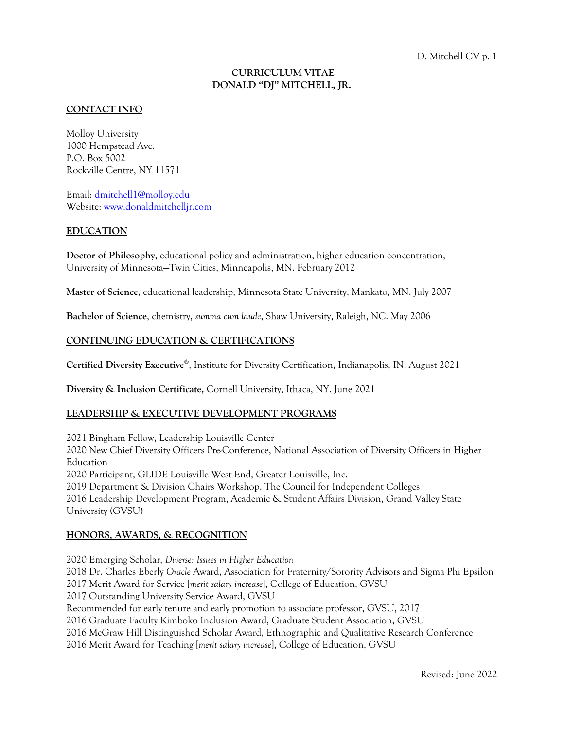## **CURRICULUM VITAE DONALD "DJ" MITCHELL, JR.**

## **CONTACT INFO**

Molloy University 1000 Hempstead Ave. P.O. Box 5002 Rockville Centre, NY 11571

Email: dmitchell1@molloy.edu Website: www.donaldmitchelljr.com

#### **EDUCATION**

**Doctor of Philosophy**, educational policy and administration, higher education concentration, University of Minnesota—Twin Cities, Minneapolis, MN. February 2012

**Master of Science**, educational leadership, Minnesota State University, Mankato, MN. July 2007

**Bachelor of Science**, chemistry, *summa cum laude*, Shaw University, Raleigh, NC. May 2006

## **CONTINUING EDUCATION & CERTIFICATIONS**

**Certified Diversity Executive®**, Institute for Diversity Certification, Indianapolis, IN. August 2021

**Diversity & Inclusion Certificate,** Cornell University, Ithaca, NY. June 2021

#### **LEADERSHIP & EXECUTIVE DEVELOPMENT PROGRAMS**

2021 Bingham Fellow, Leadership Louisville Center 2020 New Chief Diversity Officers Pre-Conference, National Association of Diversity Officers in Higher Education 2020 Participant, GLIDE Louisville West End, Greater Louisville, Inc. 2019 Department & Division Chairs Workshop, The Council for Independent Colleges 2016 Leadership Development Program, Academic & Student Affairs Division, Grand Valley State University (GVSU)

#### **HONORS, AWARDS, & RECOGNITION**

2020 Emerging Scholar, *Diverse: Issues in Higher Education* 2018 Dr. Charles Eberly *Oracle* Award, Association for Fraternity/Sorority Advisors and Sigma Phi Epsilon 2017 Merit Award for Service [*merit salary increase*], College of Education, GVSU 2017 Outstanding University Service Award, GVSU Recommended for early tenure and early promotion to associate professor, GVSU, 2017 2016 Graduate Faculty Kimboko Inclusion Award, Graduate Student Association, GVSU 2016 McGraw Hill Distinguished Scholar Award, Ethnographic and Qualitative Research Conference 2016 Merit Award for Teaching [*merit salary increase*], College of Education, GVSU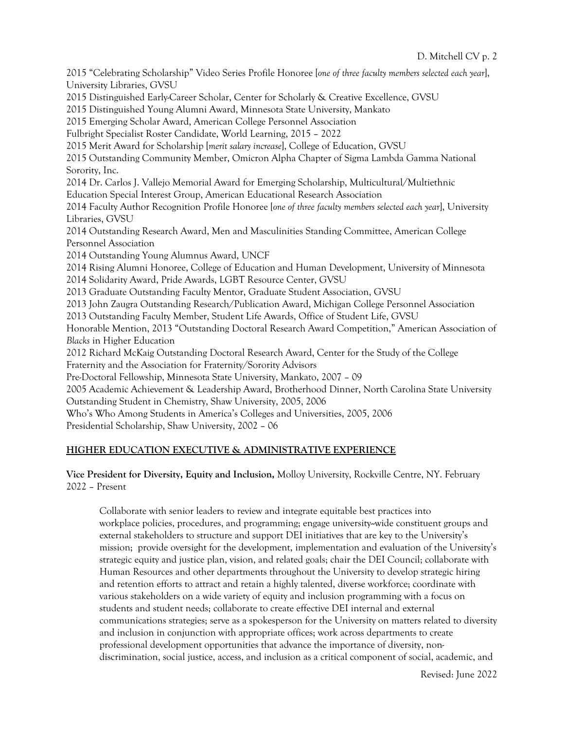2015 "Celebrating Scholarship" Video Series Profile Honoree [*one of three faculty members selected each year*], University Libraries, GVSU 2015 Distinguished Early-Career Scholar, Center for Scholarly & Creative Excellence, GVSU 2015 Distinguished Young Alumni Award, Minnesota State University, Mankato 2015 Emerging Scholar Award, American College Personnel Association Fulbright Specialist Roster Candidate, World Learning, 2015 – 2022 2015 Merit Award for Scholarship [*merit salary increase*], College of Education, GVSU 2015 Outstanding Community Member, Omicron Alpha Chapter of Sigma Lambda Gamma National Sorority, Inc. 2014 Dr. Carlos J. Vallejo Memorial Award for Emerging Scholarship, Multicultural/Multiethnic Education Special Interest Group, American Educational Research Association 2014 Faculty Author Recognition Profile Honoree [*one of three faculty members selected each year*], University Libraries, GVSU 2014 Outstanding Research Award, Men and Masculinities Standing Committee, American College Personnel Association 2014 Outstanding Young Alumnus Award, UNCF 2014 Rising Alumni Honoree, College of Education and Human Development, University of Minnesota 2014 Solidarity Award, Pride Awards, LGBT Resource Center, GVSU 2013 Graduate Outstanding Faculty Mentor, Graduate Student Association, GVSU 2013 John Zaugra Outstanding Research/Publication Award, Michigan College Personnel Association 2013 Outstanding Faculty Member, Student Life Awards, Office of Student Life, GVSU Honorable Mention, 2013 "Outstanding Doctoral Research Award Competition," American Association of *Blacks* in Higher Education 2012 Richard McKaig Outstanding Doctoral Research Award, Center for the Study of the College Fraternity and the Association for Fraternity/Sorority Advisors Pre-Doctoral Fellowship, Minnesota State University, Mankato, 2007 – 09 2005 Academic Achievement & Leadership Award, Brotherhood Dinner, North Carolina State University Outstanding Student in Chemistry, Shaw University, 2005, 2006 Who's Who Among Students in America's Colleges and Universities, 2005, 2006 Presidential Scholarship, Shaw University, 2002 – 06

# **HIGHER EDUCATION EXECUTIVE & ADMINISTRATIVE EXPERIENCE**

## **Vice President for Diversity, Equity and Inclusion,** Molloy University, Rockville Centre, NY. February 2022 – Present

Collaborate with senior leaders to review and integrate equitable best practices into workplace policies, procedures, and programming; engage university--wide constituent groups and external stakeholders to structure and support DEI initiatives that are key to the University's mission; provide oversight for the development, implementation and evaluation of the University's strategic equity and justice plan, vision, and related goals; chair the DEI Council; collaborate with Human Resources and other departments throughout the University to develop strategic hiring and retention efforts to attract and retain a highly talented, diverse workforce; coordinate with various stakeholders on a wide variety of equity and inclusion programming with a focus on students and student needs; collaborate to create effective DEI internal and external communications strategies; serve as a spokesperson for the University on matters related to diversity and inclusion in conjunction with appropriate offices; work across departments to create professional development opportunities that advance the importance of diversity, nondiscrimination, social justice, access, and inclusion as a critical component of social, academic, and

Revised: June 2022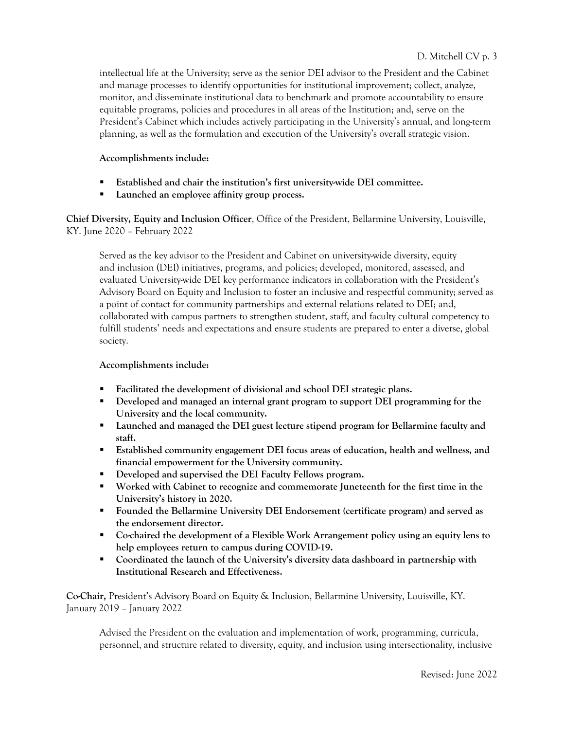intellectual life at the University; serve as the senior DEI advisor to the President and the Cabinet and manage processes to identify opportunities for institutional improvement; collect, analyze, monitor, and disseminate institutional data to benchmark and promote accountability to ensure equitable programs, policies and procedures in all areas of the Institution; and, serve on the President's Cabinet which includes actively participating in the University's annual, and long-term planning, as well as the formulation and execution of the University's overall strategic vision.

## **Accomplishments include:**

- § **Established and chair the institution's first university-wide DEI committee.**
- § **Launched an employee affinity group process.**

**Chief Diversity, Equity and Inclusion Officer**, Office of the President, Bellarmine University, Louisville, KY. June 2020 – February 2022

Served as the key advisor to the President and Cabinet on university-wide diversity, equity and inclusion (DEI) initiatives, programs, and policies; developed, monitored, assessed, and evaluated University-wide DEI key performance indicators in collaboration with the President's Advisory Board on Equity and Inclusion to foster an inclusive and respectful community; served as a point of contact for community partnerships and external relations related to DEI; and, collaborated with campus partners to strengthen student, staff, and faculty cultural competency to fulfill students' needs and expectations and ensure students are prepared to enter a diverse, global society.

## **Accomplishments include:**

- § **Facilitated the development of divisional and school DEI strategic plans.**
- § **Developed and managed an internal grant program to support DEI programming for the University and the local community.**
- § **Launched and managed the DEI guest lecture stipend program for Bellarmine faculty and staff.**
- § **Established community engagement DEI focus areas of education, health and wellness, and financial empowerment for the University community.**
- § **Developed and supervised the DEI Faculty Fellows program.**
- § **Worked with Cabinet to recognize and commemorate Juneteenth for the first time in the University's history in 2020.**
- § **Founded the Bellarmine University DEI Endorsement (certificate program) and served as the endorsement director.**
- § **Co-chaired the development of a Flexible Work Arrangement policy using an equity lens to help employees return to campus during COVID-19.**
- § **Coordinated the launch of the University's diversity data dashboard in partnership with Institutional Research and Effectiveness.**

**Co-Chair,** President's Advisory Board on Equity & Inclusion, Bellarmine University, Louisville, KY. January 2019 – January 2022

Advised the President on the evaluation and implementation of work, programming, curricula, personnel, and structure related to diversity, equity, and inclusion using intersectionality, inclusive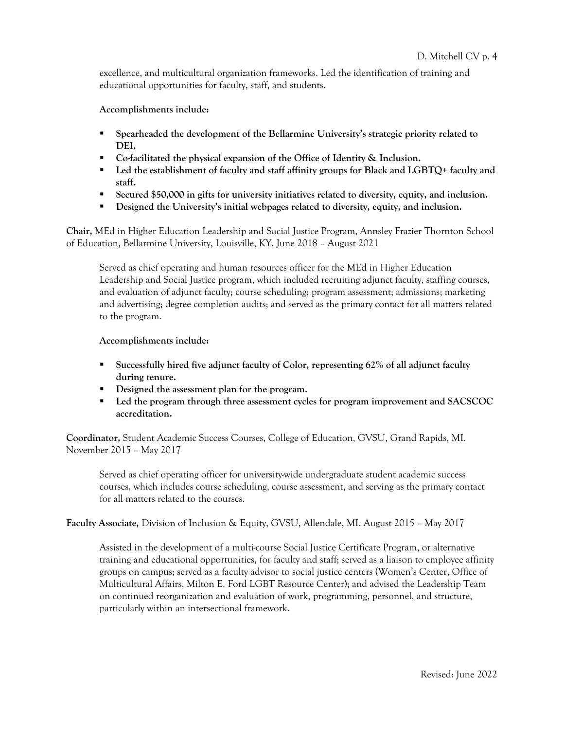excellence, and multicultural organization frameworks. Led the identification of training and educational opportunities for faculty, staff, and students.

**Accomplishments include:**

- § **Spearheaded the development of the Bellarmine University's strategic priority related to DEI.**
- § **Co-facilitated the physical expansion of the Office of Identity & Inclusion.**
- Led the establishment of faculty and staff affinity groups for Black and LGBTQ+ faculty and **staff.**
- Secured \$50,000 in gifts for university initiatives related to diversity, equity, and inclusion.
- **•** Designed the University's initial webpages related to diversity, equity, and inclusion.

**Chair,** MEd in Higher Education Leadership and Social Justice Program, Annsley Frazier Thornton School of Education, Bellarmine University, Louisville, KY. June 2018 – August 2021

Served as chief operating and human resources officer for the MEd in Higher Education Leadership and Social Justice program, which included recruiting adjunct faculty, staffing courses, and evaluation of adjunct faculty; course scheduling; program assessment; admissions; marketing and advertising; degree completion audits; and served as the primary contact for all matters related to the program.

#### **Accomplishments include:**

- § **Successfully hired five adjunct faculty of Color, representing 62% of all adjunct faculty during tenure.**
- § **Designed the assessment plan for the program.**
- § **Led the program through three assessment cycles for program improvement and SACSCOC accreditation.**

**Coordinator,** Student Academic Success Courses, College of Education, GVSU, Grand Rapids, MI. November 2015 – May 2017

Served as chief operating officer for university-wide undergraduate student academic success courses, which includes course scheduling, course assessment, and serving as the primary contact for all matters related to the courses.

**Faculty Associate,** Division of Inclusion & Equity, GVSU, Allendale, MI. August 2015 – May 2017

Assisted in the development of a multi-course Social Justice Certificate Program, or alternative training and educational opportunities, for faculty and staff; served as a liaison to employee affinity groups on campus; served as a faculty advisor to social justice centers (Women's Center, Office of Multicultural Affairs, Milton E. Ford LGBT Resource Center); and advised the Leadership Team on continued reorganization and evaluation of work, programming, personnel, and structure, particularly within an intersectional framework.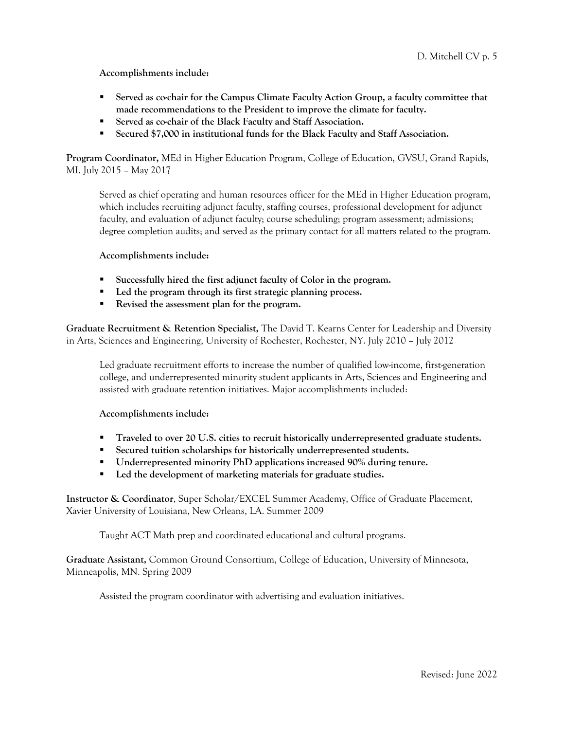**Accomplishments include:**

- Served as co-chair for the Campus Climate Faculty Action Group, a faculty committee that **made recommendations to the President to improve the climate for faculty.**
- Served as co-chair of the Black Faculty and Staff Association.
- Secured \$7,000 in institutional funds for the Black Faculty and Staff Association.

**Program Coordinator,** MEd in Higher Education Program, College of Education, GVSU, Grand Rapids, MI. July 2015 – May 2017

Served as chief operating and human resources officer for the MEd in Higher Education program, which includes recruiting adjunct faculty, staffing courses, professional development for adjunct faculty, and evaluation of adjunct faculty; course scheduling; program assessment; admissions; degree completion audits; and served as the primary contact for all matters related to the program.

#### **Accomplishments include:**

- § **Successfully hired the first adjunct faculty of Color in the program.**
- Led the program through its first strategic planning process.
- § **Revised the assessment plan for the program.**

**Graduate Recruitment & Retention Specialist,** The David T. Kearns Center for Leadership and Diversity in Arts, Sciences and Engineering, University of Rochester, Rochester, NY. July 2010 – July 2012

Led graduate recruitment efforts to increase the number of qualified low-income, first-generation college, and underrepresented minority student applicants in Arts, Sciences and Engineering and assisted with graduate retention initiatives. Major accomplishments included:

**Accomplishments include:** 

- **•** Traveled to over 20 U.S. cities to recruit historically underrepresented graduate students.
- Secured tuition scholarships for historically underrepresented students.
- § **Underrepresented minority PhD applications increased 90% during tenure.**
- Led the development of marketing materials for graduate studies.

**Instructor & Coordinator**, Super Scholar/EXCEL Summer Academy, Office of Graduate Placement, Xavier University of Louisiana, New Orleans, LA. Summer 2009

Taught ACT Math prep and coordinated educational and cultural programs.

**Graduate Assistant,** Common Ground Consortium, College of Education, University of Minnesota, Minneapolis, MN. Spring 2009

Assisted the program coordinator with advertising and evaluation initiatives.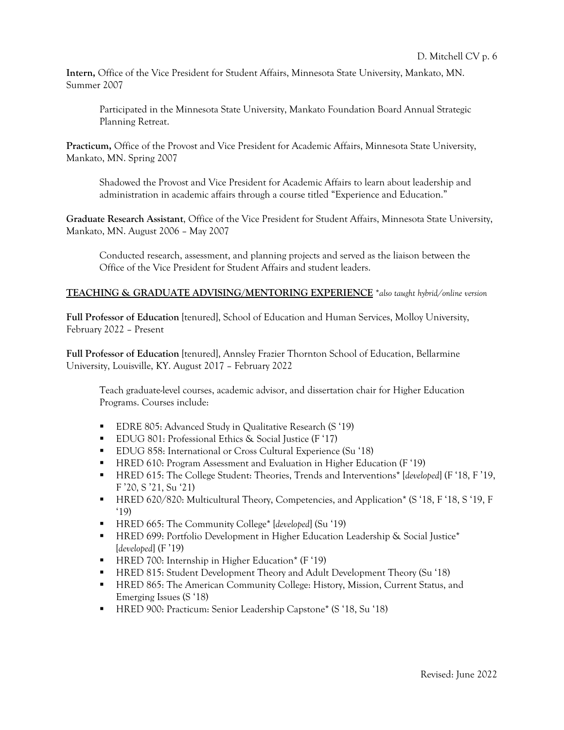**Intern,** Office of the Vice President for Student Affairs, Minnesota State University, Mankato, MN. Summer 2007

Participated in the Minnesota State University, Mankato Foundation Board Annual Strategic Planning Retreat.

**Practicum,** Office of the Provost and Vice President for Academic Affairs, Minnesota State University, Mankato, MN. Spring 2007

Shadowed the Provost and Vice President for Academic Affairs to learn about leadership and administration in academic affairs through a course titled "Experience and Education."

**Graduate Research Assistant**, Office of the Vice President for Student Affairs, Minnesota State University, Mankato, MN. August 2006 – May 2007

Conducted research, assessment, and planning projects and served as the liaison between the Office of the Vice President for Student Affairs and student leaders.

#### **TEACHING & GRADUATE ADVISING/MENTORING EXPERIENCE** \**also taught hybrid/online version*

**Full Professor of Education** [tenured], School of Education and Human Services, Molloy University, February 2022 – Present

**Full Professor of Education** [tenured], Annsley Frazier Thornton School of Education, Bellarmine University, Louisville, KY. August 2017 – February 2022

Teach graduate-level courses, academic advisor, and dissertation chair for Higher Education Programs. Courses include:

- EDRE 805: Advanced Study in Qualitative Research (S '19)
- EDUG 801: Professional Ethics & Social Justice (F '17)
- EDUG 858: International or Cross Cultural Experience (Su '18)
- HRED 610: Program Assessment and Evaluation in Higher Education (F '19)
- HRED 615: The College Student: Theories, Trends and Interventions<sup>\*</sup> [*developed*] (F '18, F '19, F '20, S '21, Su '21)
- HRED 620/820: Multicultural Theory, Competencies, and Application\* (S '18, F '18, S '19, F '19)
- § HRED 665: The Community College\* [*developed*] (Su '19)
- HRED 699: Portfolio Development in Higher Education Leadership & Social Justice<sup>\*</sup> [*developed*] (F '19)
- HRED 700: Internship in Higher Education<sup>\*</sup> (F '19)
- § HRED 815: Student Development Theory and Adult Development Theory (Su '18)
- HRED 865: The American Community College: History, Mission, Current Status, and Emerging Issues (S '18)
- HRED 900: Practicum: Senior Leadership Capstone<sup>\*</sup> (S '18, Su '18)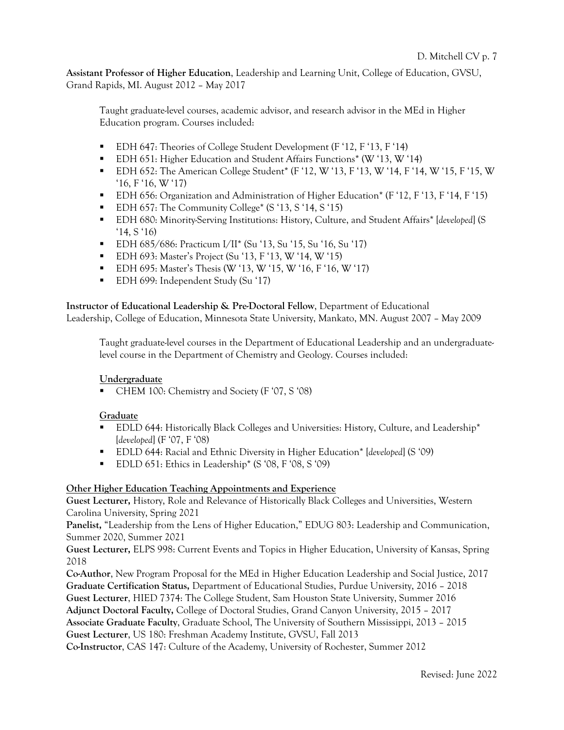**Assistant Professor of Higher Education**, Leadership and Learning Unit, College of Education, GVSU, Grand Rapids, MI. August 2012 – May 2017

Taught graduate-level courses, academic advisor, and research advisor in the MEd in Higher Education program. Courses included:

- EDH 647: Theories of College Student Development (F '12, F '13, F '14)
- § EDH 651: Higher Education and Student Affairs Functions\* (W '13, W '14)
- $\blacksquare$  EDH 652: The American College Student<sup>\*</sup> (F '12, W '13, F '13, W '14, F '14, W '15, F '15, W '16, F '16, W '17)
- EDH 656: Organization and Administration of Higher Education<sup>\*</sup> (F '12, F '13, F '14, F '15)
- EDH 657: The Community College<sup>\*</sup> (S '13, S '14, S '15)
- § EDH 680: Minority-Serving Institutions: History, Culture, and Student Affairs\* [*developed*] (S '14, S '16)
- EDH 685/686: Practicum I/II<sup>\*</sup> (Su '13, Su '15, Su '16, Su '17)
- EDH 693: Master's Project (Su '13, F '13, W '14, W '15)
- EDH 695: Master's Thesis (W '13, W '15, W '16, F '16, W '17)
- EDH 699: Independent Study (Su '17)

**Instructor of Educational Leadership & Pre-Doctoral Fellow**, Department of Educational Leadership, College of Education, Minnesota State University, Mankato, MN. August 2007 – May 2009

Taught graduate-level courses in the Department of Educational Leadership and an undergraduatelevel course in the Department of Chemistry and Geology. Courses included:

## **Undergraduate**

§ CHEM 100: Chemistry and Society (F '07, S '08)

## **Graduate**

- § EDLD 644: Historically Black Colleges and Universities: History, Culture, and Leadership\* [*developed*] (F '07, F '08)
- § EDLD 644: Racial and Ethnic Diversity in Higher Education\* [*developed*] (S '09)
- EDLD 651: Ethics in Leadership<sup>\*</sup> (S '08, F '08, S '09)

## **Other Higher Education Teaching Appointments and Experience**

**Guest Lecturer,** History, Role and Relevance of Historically Black Colleges and Universities, Western Carolina University, Spring 2021

**Panelist,** "Leadership from the Lens of Higher Education," EDUG 803: Leadership and Communication, Summer 2020, Summer 2021

**Guest Lecturer,** ELPS 998: Current Events and Topics in Higher Education, University of Kansas, Spring 2018

**Co-Author**, New Program Proposal for the MEd in Higher Education Leadership and Social Justice, 2017 **Graduate Certification Status,** Department of Educational Studies, Purdue University, 2016 – 2018 **Guest Lecturer**, HIED 7374: The College Student, Sam Houston State University, Summer 2016 **Adjunct Doctoral Faculty,** College of Doctoral Studies, Grand Canyon University, 2015 – 2017 **Associate Graduate Faculty**, Graduate School, The University of Southern Mississippi, 2013 – 2015 **Guest Lecturer**, US 180: Freshman Academy Institute, GVSU, Fall 2013

**Co-Instructor**, CAS 147: Culture of the Academy, University of Rochester, Summer 2012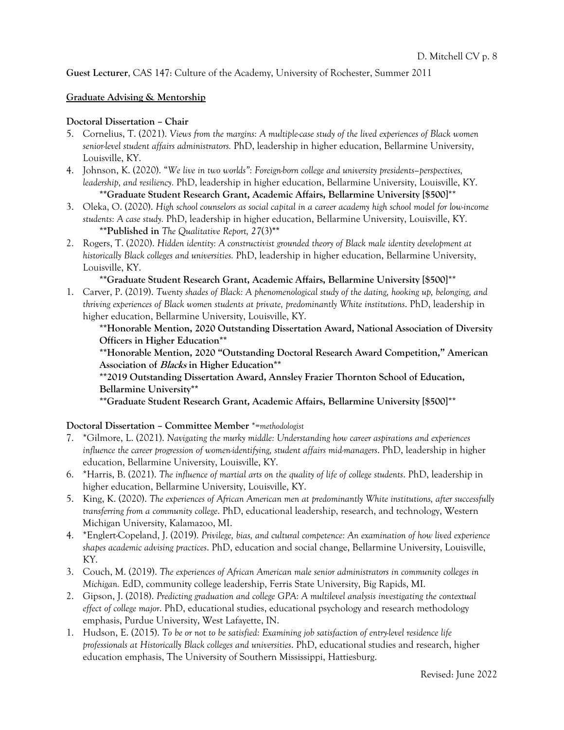**Guest Lecturer**, CAS 147: Culture of the Academy, University of Rochester, Summer 2011

## **Graduate Advising & Mentorship**

#### **Doctoral Dissertation – Chair**

- 5. Cornelius, T. (2021). *Views from the margins: A multiple-case study of the lived experiences of Black women senior-level student affairs administrators.* PhD, leadership in higher education, Bellarmine University, Louisville, KY.
- 4. Johnson, K. (2020). "*We live in two worlds": Foreign-born college and university presidents–perspectives, leadership, and resiliency.* PhD, leadership in higher education, Bellarmine University, Louisville, KY. **\*\*Graduate Student Research Grant, Academic Affairs, Bellarmine University [\$500]**\*\*
- 3. Oleka, O. (2020). *High school counselors as social capital in a career academy high school model for low-income students: A case study.* PhD, leadership in higher education, Bellarmine University, Louisville, KY. **\*\*Published in** *The Qualitative Report, 27*(3)**\*\***
- 2. Rogers, T. (2020). *Hidden identity: A constructivist grounded theory of Black male identity development at historically Black colleges and universities.* PhD, leadership in higher education, Bellarmine University, Louisville, KY.

## **\*\*Graduate Student Research Grant, Academic Affairs, Bellarmine University [\$500]**\*\*

1. Carver, P. (2019). *Twenty shades of Black: A phenomenological study of the dating, hooking up, belonging, and thriving experiences of Black women students at private, predominantly White institutions*. PhD, leadership in higher education, Bellarmine University, Louisville, KY.

**\*\*Honorable Mention, 2020 Outstanding Dissertation Award, National Association of Diversity Officers in Higher Education\*\***

**\*\*Honorable Mention, 2020 "Outstanding Doctoral Research Award Competition," American Association of Blacks in Higher Education\*\***

**\*\*2019 Outstanding Dissertation Award, Annsley Frazier Thornton School of Education, Bellarmine University\*\***

**\*\*Graduate Student Research Grant, Academic Affairs, Bellarmine University [\$500]**\*\*

**Doctoral Dissertation – Committee Member** \*=*methodologist*

- 7. \*Gilmore, L. (2021). *Navigating the murky middle: Understanding how career aspirations and experiences influence the career progression of women-identifying, student affairs mid-managers*. PhD, leadership in higher education, Bellarmine University, Louisville, KY.
- 6. \*Harris, B. (2021). *The influence of martial arts on the quality of life of college students*. PhD, leadership in higher education, Bellarmine University, Louisville, KY.
- 5. King, K. (2020). *The experiences of African American men at predominantly White institutions, after successfully transferring from a community college*. PhD, educational leadership, research, and technology, Western Michigan University, Kalamazoo, MI.
- 4. \*Englert-Copeland, J. (2019). *Privilege, bias, and cultural competence: An examination of how lived experience shapes academic advising practices*. PhD, education and social change, Bellarmine University, Louisville, KY.
- 3. Couch, M. (2019). *The experiences of African American male senior administrators in community colleges in Michigan.* EdD, community college leadership, Ferris State University, Big Rapids, MI.
- 2. Gipson, J. (2018). *Predicting graduation and college GPA: A multilevel analysis investigating the contextual effect of college major*. PhD, educational studies, educational psychology and research methodology emphasis, Purdue University, West Lafayette, IN.
- 1. Hudson, E. (2015). *To be or not to be satisfied: Examining job satisfaction of entry-level residence life professionals at Historically Black colleges and universities*. PhD, educational studies and research, higher education emphasis, The University of Southern Mississippi, Hattiesburg.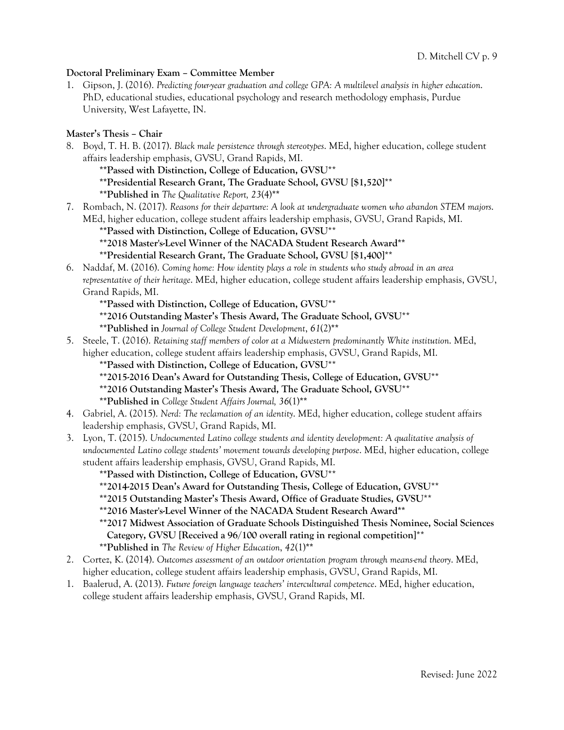### **Doctoral Preliminary Exam – Committee Member**

1. Gipson, J. (2016). *Predicting four-year graduation and college GPA: A multilevel analysis in higher education*. PhD, educational studies, educational psychology and research methodology emphasis, Purdue University, West Lafayette, IN.

## **Master's Thesis – Chair**

8. Boyd, T. H. B. (2017). *Black male persistence through stereotypes*. MEd, higher education, college student affairs leadership emphasis, GVSU, Grand Rapids, MI.

**\*\*Passed with Distinction, College of Education, GVSU**\*\*

**\*\*Presidential Research Grant, The Graduate School, GVSU [\$1,520]**\*\*

**\*\*Published in** *The Qualitative Report, 23*(4)**\*\***

7. Rombach, N. (2017). *Reasons for their departure: A look at undergraduate women who abandon STEM majors*. MEd, higher education, college student affairs leadership emphasis, GVSU, Grand Rapids, MI.

**\*\*Passed with Distinction, College of Education, GVSU**\*\*

## **\*\*2018 Master's-Level Winner of the NACADA Student Research Award\*\***

## **\*\*Presidential Research Grant, The Graduate School, GVSU [\$1,400]**\*\*

6. Naddaf, M. (2016). *Coming home: How identity plays a role in students who study abroad in an area representative of their heritage*. MEd, higher education, college student affairs leadership emphasis, GVSU, Grand Rapids, MI.

**\*\*Passed with Distinction, College of Education, GVSU**\*\*

**\*\*2016 Outstanding Master's Thesis Award, The Graduate School, GVSU**\*\*

**\*\*Published in** *Journal of College Student Development*, *61*(2)**\*\***

5. Steele, T. (2016). *Retaining staff members of color at a Midwestern predominantly White institution*. MEd, higher education, college student affairs leadership emphasis, GVSU, Grand Rapids, MI.

**\*\*Passed with Distinction, College of Education, GVSU**\*\*

- **\*\*2015-2016 Dean's Award for Outstanding Thesis, College of Education, GVSU**\*\*
- **\*\*2016 Outstanding Master's Thesis Award, The Graduate School, GVSU**\*\*

**\*\*Published in** *College Student Affairs Journal, 36*(1)**\*\***

- 4. Gabriel, A. (2015). *Nerd: The reclamation of an identity*. MEd, higher education, college student affairs leadership emphasis, GVSU, Grand Rapids, MI.
- 3. Lyon, T. (2015). *Undocumented Latino college students and identity development: A qualitative analysis of undocumented Latino college students' movement towards developing purpose*. MEd, higher education, college student affairs leadership emphasis, GVSU, Grand Rapids, MI.

**\*\*Passed with Distinction, College of Education, GVSU**\*\*

- **\*\*2014-2015 Dean's Award for Outstanding Thesis, College of Education, GVSU**\*\*
- **\*\*2015 Outstanding Master's Thesis Award, Office of Graduate Studies, GVSU**\*\*

**\*\*2016 Master's-Level Winner of the NACADA Student Research Award\*\***

**\*\*2017 Midwest Association of Graduate Schools Distinguished Thesis Nominee, Social Sciences Category, GVSU [Received a 96/100 overall rating in regional competition]**\*\*

**\*\*Published in** *The Review of Higher Education*, *42*(1)**\*\***

- 2. Cortez, K. (2014). *Outcomes assessment of an outdoor orientation program through means-end theory*. MEd, higher education, college student affairs leadership emphasis, GVSU, Grand Rapids, MI.
- 1. Baalerud, A. (2013). *Future foreign language teachers' intercultural competence*. MEd, higher education, college student affairs leadership emphasis, GVSU, Grand Rapids, MI.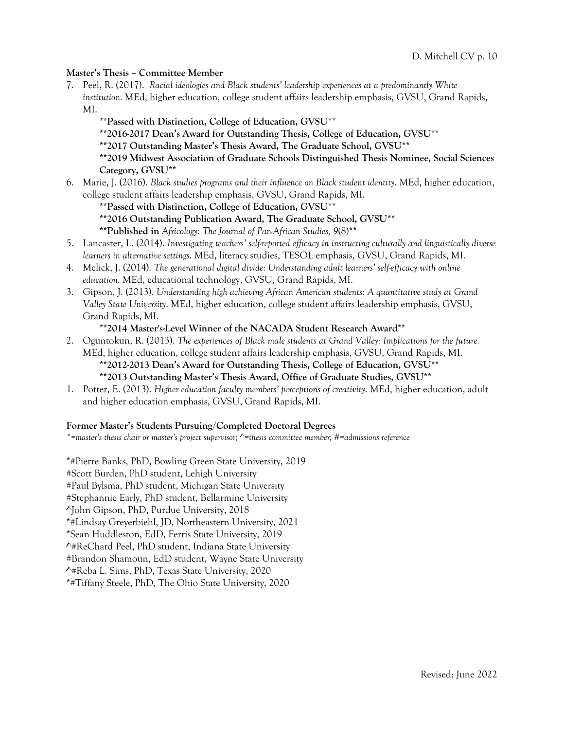### **Master's Thesis – Committee Member**

- 7. Peel, R. (2017). *Racial ideologies and Black students' leadership experiences at a predominantly White institution.* MEd, higher education, college student affairs leadership emphasis, GVSU, Grand Rapids, MI.
	- **\*\*Passed with Distinction, College of Education, GVSU**\*\*
	- **\*\*2016-2017 Dean's Award for Outstanding Thesis, College of Education, GVSU**\*\*
	- **\*\*2017 Outstanding Master's Thesis Award, The Graduate School, GVSU**\*\*
	- **\*\*2019 Midwest Association of Graduate Schools Distinguished Thesis Nominee, Social Sciences Category, GVSU\*\***
- 6. Marie, J. (2016). *Black studies programs and their influence on Black student identity*. MEd, higher education, college student affairs leadership emphasis, GVSU, Grand Rapids, MI.
	- **\*\*Passed with Distinction, College of Education, GVSU**\*\*
	- **\*\*2016 Outstanding Publication Award, The Graduate School, GVSU**\*\*
	- **\*\*Published in** *Africology: The Journal of Pan-African Studies, 9*(8)\*\*
- 5. Lancaster, L. (2014). *Investigating teachers' self-reported efficacy in instructing culturally and linguistically diverse learners in alternative settings*. MEd, literacy studies, TESOL emphasis, GVSU, Grand Rapids, MI.
- 4. Melick, J. (2014). *The generational digital divide: Understanding adult learners' self-efficacy with online education.* MEd, educational technology, GVSU, Grand Rapids, MI.
- 3. Gipson, J. (2013). *Understanding high achieving African American students: A quantitative study at Grand Valley State University*. MEd, higher education, college student affairs leadership emphasis, GVSU, Grand Rapids, MI.

#### **\*\*2014 Master's-Level Winner of the NACADA Student Research Award\*\***

- 2. Oguntokun, R. (2013). *The experiences of Black male students at Grand Valley: Implications for the future.*  MEd, higher education, college student affairs leadership emphasis, GVSU, Grand Rapids, MI. **\*\*2012-2013 Dean's Award for Outstanding Thesis, College of Education, GVSU**\*\* **\*\*2013 Outstanding Master's Thesis Award, Office of Graduate Studies, GVSU**\*\*
- 1. Potter, E. (2013). *Higher education faculty members' perceptions of creativity*. MEd, higher education, adult and higher education emphasis, GVSU, Grand Rapids, MI.

#### **Former Master's Students Pursuing/Completed Doctoral Degrees**

*\*=master's thesis chair or master's project supervisor; ^=thesis committee member; #=admissions reference*

\*#Pierre Banks, PhD, Bowling Green State University, 2019 #Scott Burden, PhD student, Lehigh University #Paul Bylsma, PhD student, Michigan State University #Stephannie Early, PhD student, Bellarmine University ^John Gipson, PhD, Purdue University, 2018 \*#Lindsay Greyerbiehl, JD, Northeastern University, 2021 \*Sean Huddleston, EdD, Ferris State University, 2019 ^#ReChard Peel, PhD student, Indiana State University #Brandon Shamoun, EdD student, Wayne State University ^#Reba L. Sims, PhD, Texas State University, 2020 \*#Tiffany Steele, PhD, The Ohio State University, 2020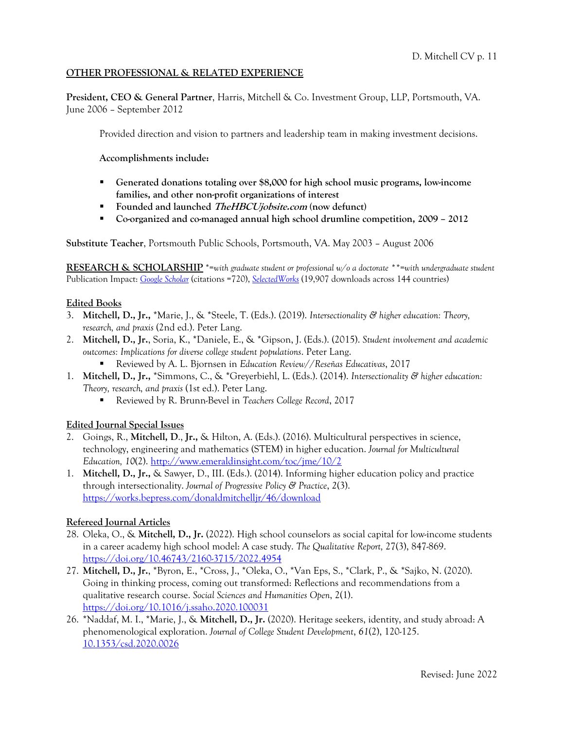## **OTHER PROFESSIONAL & RELATED EXPERIENCE**

**President, CEO & General Partner**, Harris, Mitchell & Co. Investment Group, LLP, Portsmouth, VA. June 2006 – September 2012

Provided direction and vision to partners and leadership team in making investment decisions.

**Accomplishments include:** 

- § **Generated donations totaling over \$8,000 for high school music programs, low-income families, and other non-profit organizations of interest**
- § **Founded and launched TheHBCUjobsite.com (now defunct)**
- § **Co-organized and co-managed annual high school drumline competition, 2009 – 2012**

**Substitute Teacher**, Portsmouth Public Schools, Portsmouth, VA. May 2003 – August 2006

**RESEARCH & SCHOLARSHIP** \*=*with graduate student or professional w/o a doctorate \*\*=with undergraduate student* Publication Impact: *Google Scholar* (citations =720), *SelectedWorks* (19,907 downloads across 144 countries)

#### **Edited Books**

- 3. **Mitchell, D., Jr.,** \*Marie, J., & \*Steele, T. (Eds.). (2019). *Intersectionality & higher education: Theory, research, and praxis* (2nd ed.). Peter Lang.
- 2. **Mitchell, D., Jr.**, Soria, K., \*Daniele, E., & \*Gipson, J. (Eds.). (2015). *Student involvement and academic outcomes: Implications for diverse college student populations*. Peter Lang.
	- § Reviewed by A. L. Bjornsen in *Education Review*//*Reseñas Educativas*, 2017
- 1. **Mitchell, D., Jr.,** \*Simmons, C., & \*Greyerbiehl, L. (Eds.). (2014). *Intersectionality & higher education: Theory, research, and praxis* (1st ed.). Peter Lang.
	- § Reviewed by R. Brunn-Bevel in *Teachers College Record*, 2017

#### **Edited Journal Special Issues**

- 2. Goings, R., **Mitchell, D**., **Jr.,** & Hilton, A. (Eds.). (2016). Multicultural perspectives in science, technology, engineering and mathematics (STEM) in higher education. *Journal for Multicultural Education, 10*(2). http://www.emeraldinsight.com/toc/jme/10/2
- 1. **Mitchell, D., Jr.,** & Sawyer, D., III. (Eds.). (2014). Informing higher education policy and practice through intersectionality. *Journal of Progressive Policy & Practice*, *2*(3). https://works.bepress.com/donaldmitchelljr/46/download

## **Refereed Journal Articles**

- 28. Oleka, O., & **Mitchell, D., Jr.** (2022). High school counselors as social capital for low-income students in a career academy high school model: A case study. *The Qualitative Report,* 27(3), 847-869. https://doi.org/10.46743/2160-3715/2022.4954
- 27. **Mitchell, D., Jr.**, \*Byron, E., \*Cross, J., \*Oleka, O., \*Van Eps, S., \*Clark, P., & \*Sajko, N. (2020). Going in thinking process, coming out transformed: Reflections and recommendations from a qualitative research course. *Social Sciences and Humanities Open*, 2(1). https://doi.org/10.1016/j.ssaho.2020.100031
- 26. \*Naddaf, M. I., \*Marie, J., & **Mitchell, D., Jr.** (2020). Heritage seekers, identity, and study abroad: A phenomenological exploration. *Journal of College Student Development*, *61*(2), 120-125. 10.1353/csd.2020.0026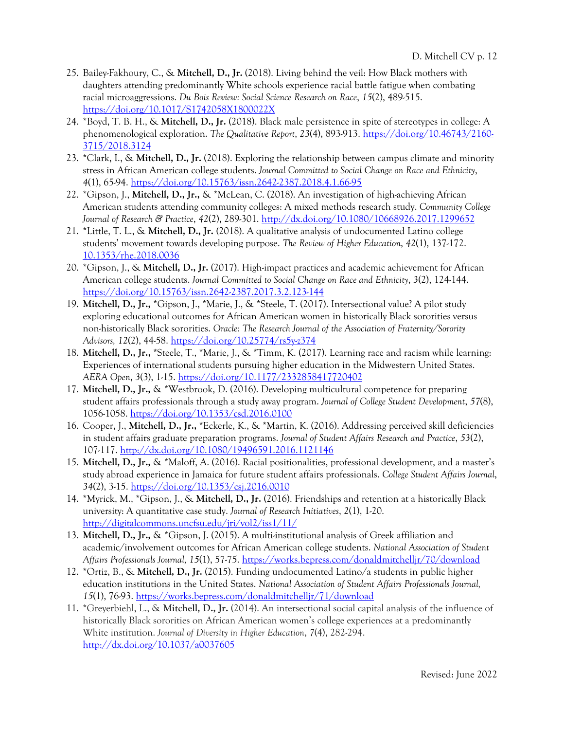- 25. Bailey-Fakhoury, C., & **Mitchell, D., Jr.** (2018). Living behind the veil: How Black mothers with daughters attending predominantly White schools experience racial battle fatigue when combating racial microaggressions. *Du Bois Review: Social Science Research on Race*, *15*(2), 489-515. https://doi.org/10.1017/S1742058X1800022X
- 24. \*Boyd, T. B. H., & **Mitchell, D., Jr.** (2018). Black male persistence in spite of stereotypes in college: A phenomenological exploration. *The Qualitative Report*, *23*(4), 893-913. https://doi.org/10.46743/2160- 3715/2018.3124
- 23. \*Clark, I., & **Mitchell, D., Jr.** (2018). Exploring the relationship between campus climate and minority stress in African American college students. *Journal Committed to Social Change on Race and Ethnicity*, *4*(1), 65-94. https://doi.org/10.15763/issn.2642-2387.2018.4.1.66-95
- 22. \*Gipson, J., **Mitchell, D., Jr.,** & \*McLean, C. (2018). An investigation of high-achieving African American students attending community colleges: A mixed methods research study. *Community College Journal of Research & Practice*, *42*(2), 289-301. http://dx.doi.org/10.1080/10668926.2017.1299652
- 21. \*Little, T. L., & **Mitchell, D., Jr. (**2018). A qualitative analysis of undocumented Latino college students' movement towards developing purpose. *The Review of Higher Education*, *42*(1), 137-172. 10.1353/rhe.2018.0036
- 20. \*Gipson, J., & **Mitchell, D., Jr.** (2017). High-impact practices and academic achievement for African American college students. *Journal Committed to Social Change on Race and Ethnicity*, *3*(2), 124-144. https://doi.org/10.15763/issn.2642-2387.2017.3.2.123-144
- 19. **Mitchell, D., Jr.,** \*Gipson, J., \*Marie, J., & \*Steele, T. (2017). Intersectional value? A pilot study exploring educational outcomes for African American women in historically Black sororities versus non-historically Black sororities. *Oracle: The Research Journal of the Association of Fraternity/Sorority Advisors, 12*(2), 44-58. https://doi.org/10.25774/rs5y-z374
- 18. **Mitchell, D., Jr., \***Steele, T., \*Marie, J., & \*Timm, K. (2017). Learning race and racism while learning: Experiences of international students pursuing higher education in the Midwestern United States. *AERA Open*, *3*(3), 1-15. https://doi.org/10.1177/2332858417720402
- 17. **Mitchell, D., Jr.,** & \*Westbrook, D. (2016). Developing multicultural competence for preparing student affairs professionals through a study away program. *Journal of College Student Development*, *57*(8), 1056-1058. https://doi.org/10.1353/csd.2016.0100
- 16. Cooper, J., **Mitchell, D., Jr., \***Eckerle, K., & \*Martin, K. (2016). Addressing perceived skill deficiencies in student affairs graduate preparation programs. *Journal of Student Affairs Research and Practice*, *53*(2), 107-117. http://dx.doi.org/10.1080/19496591.2016.1121146
- 15. **Mitchell, D., Jr.,** & \*Maloff, A. (2016). Racial positionalities, professional development, and a master's study abroad experience in Jamaica for future student affairs professionals. *College Student Affairs Journal*, *34*(2), 3-15. https://doi.org/10.1353/csj.2016.0010
- 14. \*Myrick, M., \*Gipson, J., & **Mitchell, D., Jr.** (2016). Friendships and retention at a historically Black university: A quantitative case study. *Journal of Research Initiatives*, *2*(1), 1-20. http://digitalcommons.uncfsu.edu/jri/vol2/iss1/11/
- 13. **Mitchell, D., Jr.,** & \*Gipson, J. (2015). A multi-institutional analysis of Greek affiliation and academic/involvement outcomes for African American college students. *National Association of Student Affairs Professionals Journal, 15*(1), 57-75. https://works.bepress.com/donaldmitchelljr/70/download
- 12. \*Ortiz, B., & **Mitchell, D., Jr.** (2015). Funding undocumented Latino/a students in public higher education institutions in the United States. *National Association of Student Affairs Professionals Journal, 15*(1), 76-93. https://works.bepress.com/donaldmitchelljr/71/download
- 11. \*Greyerbiehl, L., & **Mitchell, D., Jr.** (2014). An intersectional social capital analysis of the influence of historically Black sororities on African American women's college experiences at a predominantly White institution. *Journal of Diversity in Higher Education*, *7*(4), 282-294. http://dx.doi.org/10.1037/a0037605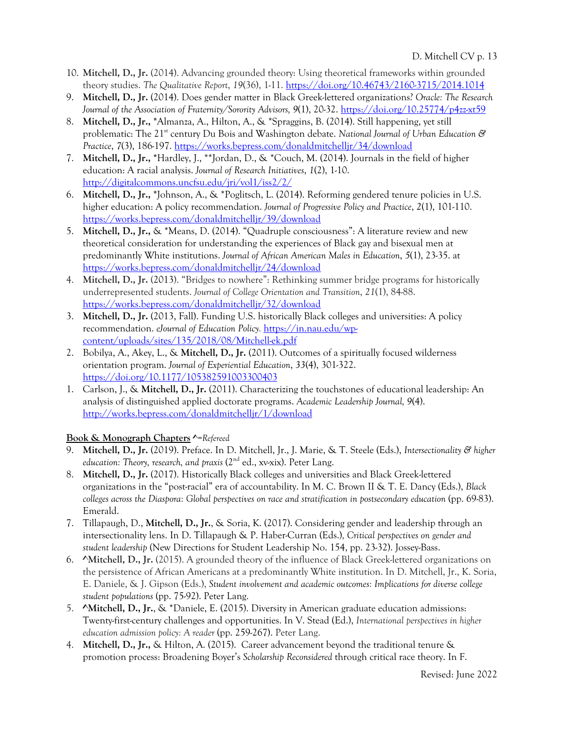- 10. **Mitchell, D., Jr.** (2014). Advancing grounded theory: Using theoretical frameworks within grounded theory studies. *The Qualitative Report*, *19*(36), 1-11. https://doi.org/10.46743/2160-3715/2014.1014
- 9. **Mitchell, D., Jr.** (2014). Does gender matter in Black Greek-lettered organizations? *Oracle: The Research Journal of the Association of Fraternity/Sorority Advisors, 9*(1), 20-32. https://doi.org/10.25774/p4zz-xt59
- 8. **Mitchell, D., Jr., \***Almanza, A., Hilton, A., & \*Spraggins, B. (2014). Still happening, yet still problematic: The 21<sup>st</sup> century Du Bois and Washington debate. *National Journal of Urban Education & Practice*, *7*(3), 186-197. https://works.bepress.com/donaldmitchelljr/34/download
- 7. **Mitchell, D., Jr., \***Hardley, J., \*\*Jordan, D., & \*Couch, M. (2014). Journals in the field of higher education: A racial analysis. *Journal of Research Initiatives*, *1*(2), 1-10. http://digitalcommons.uncfsu.edu/jri/vol1/iss2/2/
- 6. **Mitchell, D., Jr., \***Johnson, A., & \*Poglitsch, L. (2014). Reforming gendered tenure policies in U.S. higher education: A policy recommendation. *Journal of Progressive Policy and Practice*, *2*(1), 101-110. https://works.bepress.com/donaldmitchelljr/39/download
- 5. **Mitchell, D., Jr.,** & \*Means, D. (2014). "Quadruple consciousness": A literature review and new theoretical consideration for understanding the experiences of Black gay and bisexual men at predominantly White institutions. *Journal of African American Males in Education*, *5*(1), 23-35. at https://works.bepress.com/donaldmitchelljr/24/download
- 4. **Mitchell, D., Jr.** (2013). "Bridges to nowhere": Rethinking summer bridge programs for historically underrepresented students. *Journal of College Orientation and Transition*, *21*(1), 84-88. https://works.bepress.com/donaldmitchelljr/32/download
- 3. **Mitchell, D., Jr.** (2013, Fall). Funding U.S. historically Black colleges and universities: A policy recommendation. *eJournal of Education Policy.* https://in.nau.edu/wpcontent/uploads/sites/135/2018/08/Mitchell-ek.pdf
- 2. Bobilya, A., Akey, L., & **Mitchell, D., Jr.** (2011). Outcomes of a spiritually focused wilderness orientation program. *Journal of Experiential Education*, *33*(4), 301-322. https://doi.org/10.1177/105382591003300403
- 1. Carlson, J., & **Mitchell, D., Jr.** (2011). Characterizing the touchstones of educational leadership: An analysis of distinguished applied doctorate programs. *Academic Leadership Journal, 9*(4). http://works.bepress.com/donaldmitchelljr/1/download

# **Book & Monograph Chapters ^***=Refereed*

- 9. **Mitchell, D., Jr.** (2019). Preface. In D. Mitchell, Jr., J. Marie, & T. Steele (Eds.), *Intersectionality & higher education: Theory, research, and praxis* (2<sup>nd</sup> ed., xv-xix). Peter Lang.
- 8. **Mitchell, D., Jr.** (2017). Historically Black colleges and universities and Black Greek-lettered organizations in the "post-racial" era of accountability. In M. C. Brown II & T. E. Dancy (Eds.), *Black colleges across the Diaspora: Global perspectives on race and stratification in postsecondary education* (pp. 69-83). Emerald.
- 7. Tillapaugh, D., **Mitchell, D., Jr.**, & Soria, K. (2017). Considering gender and leadership through an intersectionality lens. In D. Tillapaugh & P. Haber-Curran (Eds.)*, Critical perspectives on gender and student leadership* (New Directions for Student Leadership No. 154, pp. 23-32). Jossey-Bass.
- 6. **^Mitchell, D., Jr.** (2015). A grounded theory of the influence of Black Greek-lettered organizations on the persistence of African Americans at a predominantly White institution. In D. Mitchell, Jr., K. Soria, E. Daniele, & J. Gipson (Eds.), *Student involvement and academic outcomes: Implications for diverse college student populations* (pp. 75-92). Peter Lang.
- 5. **^Mitchell, D., Jr.**, & \*Daniele, E. (2015). Diversity in American graduate education admissions: Twenty-first-century challenges and opportunities. In V. Stead (Ed.), *International perspectives in higher education admission policy: A reader* (pp. 259-267). Peter Lang.
- 4. **Mitchell, D., Jr.,** & Hilton, A. (2015). Career advancement beyond the traditional tenure & promotion process: Broadening Boyer's *Scholarship Reconsidered* through critical race theory. In F.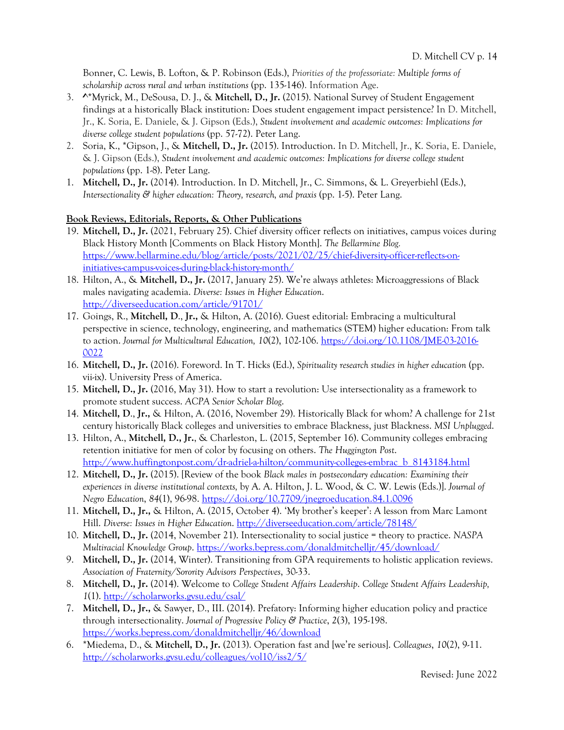Bonner, C. Lewis, B. Lofton, & P. Robinson (Eds.), *Priorities of the professoriate: Multiple forms of scholarship across rural and urban institutions* (pp. 135-146). Information Age.

- 3. **^**\*Myrick, M., DeSousa, D. J., & **Mitchell, D., Jr.** (2015). National Survey of Student Engagement findings at a historically Black institution: Does student engagement impact persistence? In D. Mitchell, Jr., K. Soria, E. Daniele, & J. Gipson (Eds.), *Student involvement and academic outcomes: Implications for diverse college student populations* (pp. 57-72). Peter Lang.
- 2. Soria, K., \*Gipson, J., & **Mitchell, D., Jr.** (2015). Introduction. In D. Mitchell, Jr., K. Soria, E. Daniele, & J. Gipson (Eds.), *Student involvement and academic outcomes: Implications for diverse college student populations* (pp. 1-8). Peter Lang.
- 1. **Mitchell, D., Jr.** (2014). Introduction. In D. Mitchell, Jr., C. Simmons, & L. Greyerbiehl (Eds.), *Intersectionality & higher education: Theory, research, and praxis (pp. 1-5). Peter Lang.*

## **Book Reviews, Editorials, Reports, & Other Publications**

- 19. **Mitchell, D., Jr.** (2021, February 25). Chief diversity officer reflects on initiatives, campus voices during Black History Month [Comments on Black History Month]. *The Bellarmine Blog.* https://www.bellarmine.edu/blog/article/posts/2021/02/25/chief-diversity-officer-reflects-oninitiatives-campus-voices-during-black-history-month/
- 18. Hilton, A., & **Mitchell, D., Jr.** (2017, January 25). We're always athletes: Microaggressions of Black males navigating academia. *Diverse: Issues in Higher Education*. http://diverseeducation.com/article/91701/
- 17. Goings, R., **Mitchell, D**., **Jr.,** & Hilton, A. (2016). Guest editorial: Embracing a multicultural perspective in science, technology, engineering, and mathematics (STEM) higher education: From talk to action. *Journal for Multicultural Education, 10*(2), 102-106. https://doi.org/10.1108/JME-03-2016- 0022
- 16. **Mitchell, D., Jr.** (2016). Foreword. In T. Hicks (Ed.), *Spirituality research studies in higher education* (pp. vii-ix). University Press of America.
- 15. **Mitchell, D., Jr.** (2016, May 31). How to start a revolution: Use intersectionality as a framework to promote student success. *ACPA Senior Scholar Blog*.
- 14. **Mitchell, D**., **Jr.,** & Hilton, A. (2016, November 29). Historically Black for whom? A challenge for 21st century historically Black colleges and universities to embrace Blackness, just Blackness. *MSI Unplugged*.
- 13. Hilton, A., **Mitchell, D., Jr.**, & Charleston, L. (2015, September 16). Community colleges embracing retention initiative for men of color by focusing on others. *The Huggington Post*. http://www.huffingtonpost.com/dr-adriel-a-hilton/community-colleges-embrac\_b\_8143184.html
- 12. **Mitchell, D., Jr.** (2015). [Review of the book *Black males in postsecondary education: Examining their experiences in diverse institutional contexts,* by A. A. Hilton, J. L. Wood, & C. W. Lewis (Eds.)]. *Journal of Negro Education*, *84*(1), 96-98. https://doi.org/10.7709/jnegroeducation.84.1.0096
- 11. **Mitchell, D., Jr.,** & Hilton, A. (2015, October 4). 'My brother's keeper': A lesson from Marc Lamont Hill. *Diverse: Issues in Higher Education*. http://diverseeducation.com/article/78148/
- 10. **Mitchell, D., Jr.** (2014, November 21). Intersectionality to social justice = theory to practice. *NASPA Multiracial Knowledge Group*. https://works.bepress.com/donaldmitchelljr/45/download/
- 9. **Mitchell, D., Jr.** (2014, Winter). Transitioning from GPA requirements to holistic application reviews. *Association of Fraternity/Sorority Advisors Perspectives*, 30-33.
- 8. **Mitchell, D., Jr.** (2014). Welcome to *College Student Affairs Leadership*. *College Student Affairs Leadership, 1*(1). http://scholarworks.gvsu.edu/csal/
- 7. **Mitchell, D., Jr.,** & Sawyer, D., III. (2014). Prefatory: Informing higher education policy and practice through intersectionality. *Journal of Progressive Policy & Practice*, *2*(3), 195-198. https://works.bepress.com/donaldmitchelljr/46/download
- 6. \*Miedema, D., & **Mitchell, D., Jr.** (2013). Operation fast and [we're serious]. *Colleagues*, *10*(2), 9-11. http://scholarworks.gvsu.edu/colleagues/vol10/iss2/5/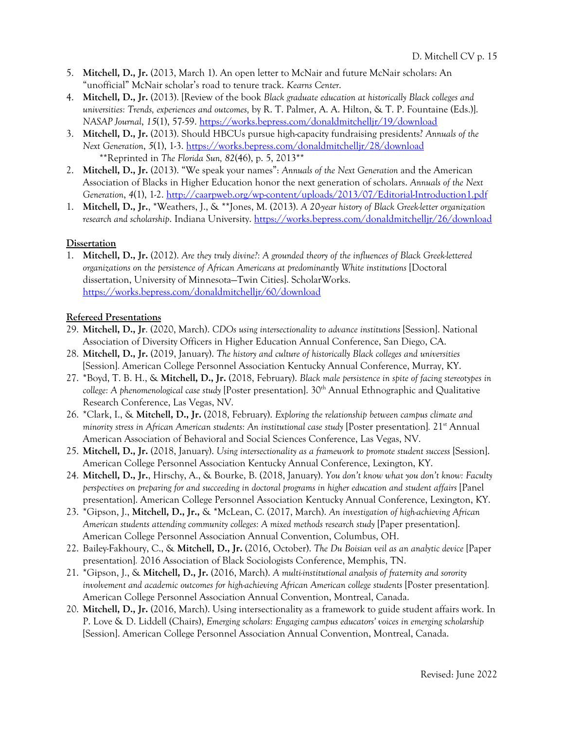- 5. **Mitchell, D., Jr.** (2013, March 1). An open letter to McNair and future McNair scholars: An "unofficial" McNair scholar's road to tenure track. *Kearns Center*.
- 4. **Mitchell, D., Jr.** (2013). [Review of the book *Black graduate education at historically Black colleges and universities: Trends, experiences and outcomes,* by R. T. Palmer, A. A. Hilton, & T. P. Fountaine (Eds.)]. *NASAP Journal*, *15*(1), 57-59. https://works.bepress.com/donaldmitchelljr/19/download
- 3. **Mitchell, D., Jr.** (2013). Should HBCUs pursue high-capacity fundraising presidents? *Annuals of the Next Generation*, *5*(1), 1-3. https://works.bepress.com/donaldmitchelljr/28/download \*\*Reprinted in *The Florida Sun, 82*(46), p. 5, 2013\*\*
- 2. **Mitchell, D., Jr.** (2013). "We speak your names": *Annuals of the Next Generation* and the American Association of Blacks in Higher Education honor the next generation of scholars. *Annuals of the Next Generation*, *4*(1), 1-2. http://caarpweb.org/wp-content/uploads/2013/07/Editorial-Introduction1.pdf
- 1. **Mitchell, D., Jr.**, \*Weathers, J., & \*\*Jones, M. (2013). *A 20-year history of Black Greek-letter organization research and scholarship*. Indiana University. https://works.bepress.com/donaldmitchelljr/26/download

## **Dissertation**

1. **Mitchell, D., Jr.** (2012). *Are they truly divine?: A grounded theory of the influences of Black Greek-lettered organizations on the persistence of African Americans at predominantly White institutions* [Doctoral dissertation, University of Minnesota—Twin Cities]. ScholarWorks. https://works.bepress.com/donaldmitchelljr/60/download

## **Refereed Presentations**

- 29. **Mitchell, D., Jr**. (2020, March). *CDOs using intersectionality to advance institutions* [Session]. National Association of Diversity Officers in Higher Education Annual Conference, San Diego, CA.
- 28. **Mitchell, D., Jr.** (2019, January). *The history and culture of historically Black colleges and universities* [Session]*.* American College Personnel Association Kentucky Annual Conference, Murray, KY.
- 27. \*Boyd, T. B. H., & **Mitchell, D., Jr.** (2018, February). *Black male persistence in spite of facing stereotypes in*  college: A phenomenological case study [Poster presentation]. 30<sup>th</sup> Annual Ethnographic and Qualitative Research Conference, Las Vegas, NV.
- 26. \*Clark, I., & **Mitchell, D., Jr.** (2018, February). *Exploring the relationship between campus climate and minority stress in African American students: An institutional case study* [Poster presentation]*.* 21st Annual American Association of Behavioral and Social Sciences Conference, Las Vegas, NV.
- 25. **Mitchell, D., Jr.** (2018, January). *Using intersectionality as a framework to promote student success* [Session]. American College Personnel Association Kentucky Annual Conference, Lexington, KY.
- 24. **Mitchell, D., Jr.**, Hirschy, A., & Bourke, B. (2018, January). *You don't know what you don't know: Faculty perspectives on preparing for and succeeding in doctoral programs in higher education and student affairs* [Panel presentation]. American College Personnel Association Kentucky Annual Conference, Lexington, KY.
- 23. \*Gipson, J., **Mitchell, D., Jr.,** & \*McLean, C. (2017, March). *An investigation of high-achieving African American students attending community colleges: A mixed methods research study* [Paper presentation]. American College Personnel Association Annual Convention, Columbus, OH.
- 22. Bailey-Fakhoury, C., & **Mitchell, D., Jr.** (2016, October). *The Du Boisian veil as an analytic device* [Paper presentation]*.* 2016 Association of Black Sociologists Conference, Memphis, TN.
- 21. \*Gipson, J., & **Mitchell, D., Jr.** (2016, March). *A multi-institutional analysis of fraternity and sorority involvement and academic outcomes for high-achieving African American college students* [Poster presentation]*.*  American College Personnel Association Annual Convention, Montreal, Canada.
- 20. **Mitchell, D., Jr.** (2016, March). Using intersectionality as a framework to guide student affairs work. In P. Love & D. Liddell (Chairs), *Emerging scholars: Engaging campus educators' voices in emerging scholarship* [Session]. American College Personnel Association Annual Convention, Montreal, Canada.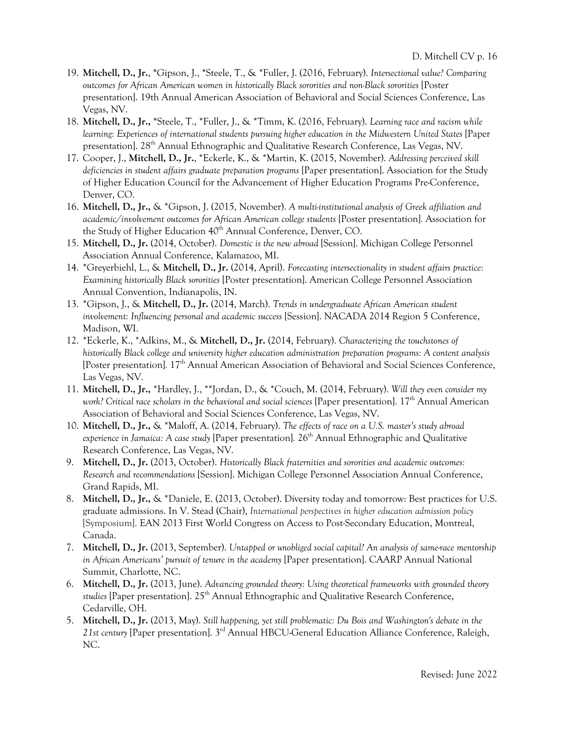- 19. **Mitchell, D., Jr.**, **\***Gipson, J., **\***Steele, T., & \*Fuller, J. (2016, February). *Intersectional value? Comparing outcomes for African American women in historically Black sororities and non-Black sororities* [Poster presentation]. 19th Annual American Association of Behavioral and Social Sciences Conference, Las Vegas, NV.
- 18. **Mitchell, D., Jr., \***Steele, T., \*Fuller, J., & \*Timm, K. (2016, February). *Learning race and racism while learning: Experiences of international students pursuing higher education in the Midwestern United States* [Paper presentation]. 28th Annual Ethnographic and Qualitative Research Conference, Las Vegas, NV.
- 17. Cooper, J., **Mitchell, D., Jr.**, \*Eckerle, K., & \*Martin, K. (2015, November). *Addressing perceived skill deficiencies in student affairs graduate preparation programs* [Paper presentation]. Association for the Study of Higher Education Council for the Advancement of Higher Education Programs Pre-Conference, Denver, CO.
- 16. **Mitchell, D., Jr.,** & \*Gipson, J. (2015, November). *A multi-institutional analysis of Greek affiliation and academic/involvement outcomes for African American college students* [Poster presentation]*.* Association for the Study of Higher Education  $40<sup>th</sup>$  Annual Conference, Denver, CO.
- 15. **Mitchell, D., Jr.** (2014, October). *Domestic is the new abroad* [Session]. Michigan College Personnel Association Annual Conference, Kalamazoo, MI.
- 14. \*Greyerbiehl, L., & **Mitchell, D., Jr.** (2014, April). *Forecasting intersectionality in student affairs practice: Examining historically Black sororities* [Poster presentation]. American College Personnel Association Annual Convention, Indianapolis, IN.
- 13. \*Gipson, J., & **Mitchell, D., Jr.** (2014, March). *Trends in undergraduate African American student involvement: Influencing personal and academic success* [Session]. NACADA 2014 Region 5 Conference, Madison, WI.
- 12. \*Eckerle, K., \*Adkins, M., & **Mitchell, D., Jr.** (2014, February). *Characterizing the touchstones of historically Black college and university higher education administration preparation programs: A content analysis* [Poster presentation]*.* 17th Annual American Association of Behavioral and Social Sciences Conference, Las Vegas, NV.
- 11. **Mitchell, D., Jr.,** \*Hardley, J., \*\*Jordan, D., & \*Couch, M. (2014, February). *Will they even consider my work? Critical race scholars in the behavioral and social sciences* [Paper presentation]*.* 17th Annual American Association of Behavioral and Social Sciences Conference, Las Vegas, NV.
- 10. **Mitchell, D., Jr.,** & \*Maloff, A. (2014, February). *The effects of race on a U.S. master's study abroad*  experience in Jamaica: A case study [Paper presentation]. 26<sup>th</sup> Annual Ethnographic and Qualitative Research Conference, Las Vegas, NV.
- 9. **Mitchell, D., Jr.** (2013, October). *Historically Black fraternities and sororities and academic outcomes: Research and recommendations* [Session]. Michigan College Personnel Association Annual Conference, Grand Rapids, MI.
- 8. **Mitchell, D., Jr.,** & \*Daniele, E. (2013, October). Diversity today and tomorrow: Best practices for U.S. graduate admissions. In V. Stead (Chair), *International perspectives in higher education admission policy* [Symposium]. EAN 2013 First World Congress on Access to Post-Secondary Education, Montreal, Canada.
- 7. **Mitchell, D., Jr.** (2013, September). *Untapped or unobliged social capital? An analysis of same-race mentorship in African Americans' pursuit of tenure in the academy* [Paper presentation]. CAARP Annual National Summit, Charlotte, NC.
- 6. **Mitchell, D., Jr.** (2013, June). *Advancing grounded theory: Using theoretical frameworks with grounded theory studies* [Paper presentation]. 25th Annual Ethnographic and Qualitative Research Conference, Cedarville, OH.
- 5. **Mitchell, D., Jr.** (2013, May). *Still happening, yet still problematic: Du Bois and Washington's debate in the 21st century* [Paper presentation]. 3rd Annual HBCU-General Education Alliance Conference, Raleigh, NC.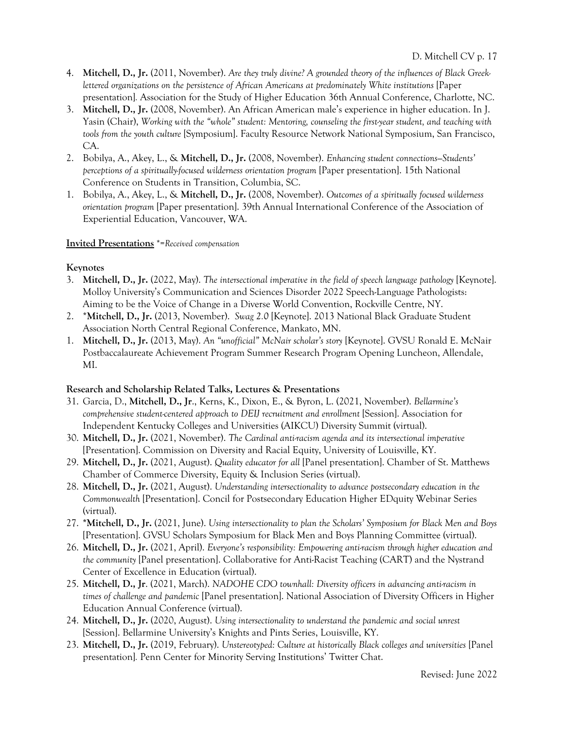- 4. **Mitchell, D., Jr.** (2011, November). *Are they truly divine? A grounded theory of the influences of Black Greeklettered organizations on the persistence of African Americans at predominately White institutions* [Paper presentation]*.* Association for the Study of Higher Education 36th Annual Conference, Charlotte, NC.
- 3. **Mitchell, D., Jr.** (2008, November). An African American male's experience in higher education. In J. Yasin (Chair), *Working with the "whole" student: Mentoring, counseling the first-year student, and teaching with tools from the youth culture* [Symposium]. Faculty Resource Network National Symposium, San Francisco, CA.
- 2. Bobilya, A., Akey, L., & **Mitchell, D., Jr.** (2008, November). *Enhancing student connections—Students' perceptions of a spiritually-focused wilderness orientation program* [Paper presentation]. 15th National Conference on Students in Transition, Columbia, SC.
- 1. Bobilya, A., Akey, L., & **Mitchell, D., Jr.** (2008, November). *Outcomes of a spiritually focused wilderness orientation program* [Paper presentation]. 39th Annual International Conference of the Association of Experiential Education, Vancouver, WA.

## **Invited Presentations** \*=*Received compensation*

## **Keynotes**

- 3. **Mitchell, D., Jr.** (2022, May). *The intersectional imperative in the field of speech language pathology* [Keynote]. Molloy University's Communication and Sciences Disorder 2022 Speech-Language Pathologists: Aiming to be the Voice of Change in a Diverse World Convention, Rockville Centre, NY.
- 2. \***Mitchell, D., Jr.** (2013, November). *Swag 2.0* [Keynote]. 2013 National Black Graduate Student Association North Central Regional Conference, Mankato, MN.
- 1. **Mitchell, D., Jr.** (2013, May). *An "unofficial" McNair scholar's story* [Keynote]. GVSU Ronald E. McNair Postbaccalaureate Achievement Program Summer Research Program Opening Luncheon, Allendale, MI.

## **Research and Scholarship Related Talks, Lectures & Presentations**

- 31. Garcia, D., **Mitchell, D., Jr**., Kerns, K., Dixon, E., & Byron, L. (2021, November). *Bellarmine's comprehensive student-centered approach to DEIJ recruitment and enrollment* [Session]. Association for Independent Kentucky Colleges and Universities (AIKCU) Diversity Summit (virtual).
- 30. **Mitchell, D., Jr.** (2021, November). *The Cardinal anti-racism agenda and its intersectional imperative* [Presentation]. Commission on Diversity and Racial Equity, University of Louisville, KY.
- 29. **Mitchell, D., Jr.** (2021, August). *Quality educator for all* [Panel presentation]. Chamber of St. Matthews Chamber of Commerce Diversity, Equity & Inclusion Series (virtual).
- 28. **Mitchell, D., Jr.** (2021, August). *Understanding intersectionality to advance postsecondary education in the Commonwealth* [Presentation]. Concil for Postsecondary Education Higher EDquity Webinar Series (virtual).
- 27. **\*Mitchell, D., Jr.** (2021, June). *Using intersectionality to plan the Scholars' Symposium for Black Men and Boys* [Presentation]. GVSU Scholars Symposium for Black Men and Boys Planning Committee (virtual).
- 26. **Mitchell, D., Jr.** (2021, April). *Everyone's responsibility: Empowering anti-racism through higher education and the community* [Panel presentation]. Collaborative for Anti-Racist Teaching (CART) and the Nystrand Center of Excellence in Education (virtual).
- 25. **Mitchell, D., Jr**. (2021, March). *NADOHE CDO townhall: Diversity officers in advancing anti-racism in times of challenge and pandemic* [Panel presentation]. National Association of Diversity Officers in Higher Education Annual Conference (virtual).
- 24. **Mitchell, D., Jr.** (2020, August). *Using intersectionality to understand the pandemic and social unrest* [Session]. Bellarmine University's Knights and Pints Series, Louisville, KY.
- 23. **Mitchell, D., Jr.** (2019, February). *Unstereotyped: Culture at historically Black colleges and universities* [Panel presentation]*.* Penn Center for Minority Serving Institutions' Twitter Chat.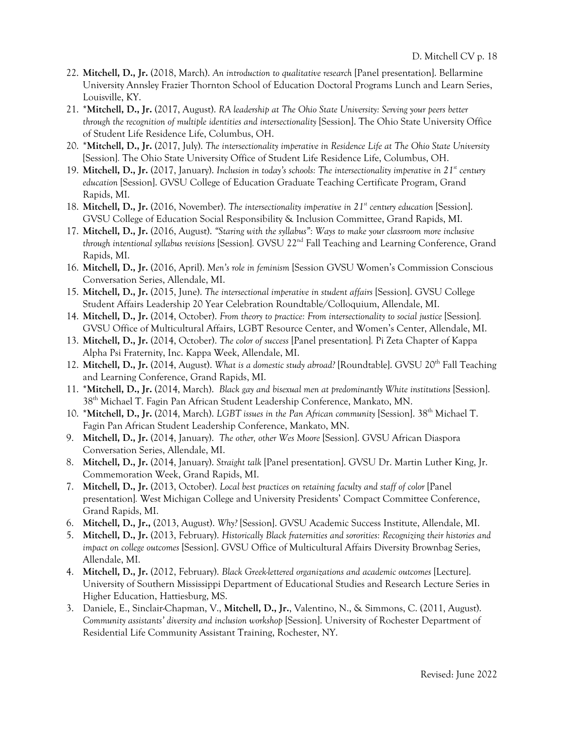- 22. **Mitchell, D., Jr.** (2018, March). *An introduction to qualitative research* [Panel presentation]. Bellarmine University Annsley Frazier Thornton School of Education Doctoral Programs Lunch and Learn Series, Louisville, KY.
- 21. \***Mitchell, D., Jr.** (2017, August). *RA leadership at The Ohio State University: Serving your peers better through the recognition of multiple identities and intersectionality* [Session]. The Ohio State University Office of Student Life Residence Life, Columbus, OH.
- 20. \***Mitchell, D., Jr.** (2017, July). *The intersectionality imperative in Residence Life at The Ohio State University* [Session]*.* The Ohio State University Office of Student Life Residence Life, Columbus, OH.
- 19. **Mitchell, D., Jr.** (2017, January). *Inclusion in today's schools: The intersectionality imperative in 21st century education* [Session]. GVSU College of Education Graduate Teaching Certificate Program, Grand Rapids, MI.
- 18. **Mitchell, D., Jr.** (2016, November). *The intersectionality imperative in 21st century education* [Session]. GVSU College of Education Social Responsibility & Inclusion Committee, Grand Rapids, MI.
- 17. **Mitchell, D., Jr.** (2016, August). *"Staring with the syllabus": Ways to make your classroom more inclusive through intentional syllabus revisions* [Session]*.* GVSU 22nd Fall Teaching and Learning Conference, Grand Rapids, MI.
- 16. **Mitchell, D., Jr.** (2016, April). *Men's role in feminism* [Session GVSU Women's Commission Conscious Conversation Series, Allendale, MI.
- 15. **Mitchell, D., Jr.** (2015, June). *The intersectional imperative in student affairs* [Session]. GVSU College Student Affairs Leadership 20 Year Celebration Roundtable/Colloquium, Allendale, MI.
- 14. **Mitchell, D., Jr.** (2014, October). *From theory to practice: From intersectionality to social justice* [Session]*.*  GVSU Office of Multicultural Affairs, LGBT Resource Center, and Women's Center, Allendale, MI.
- 13. **Mitchell, D., Jr.** (2014, October). *The color of success* [Panel presentation]*.* Pi Zeta Chapter of Kappa Alpha Psi Fraternity, Inc. Kappa Week, Allendale, MI.
- 12. **Mitchell, D., Jr.** (2014, August). *What is a domestic study abroad?* [Roundtable]. GVSU 20th Fall Teaching and Learning Conference, Grand Rapids, MI.
- 11. \***Mitchell, D., Jr.** (2014, March). *Black gay and bisexual men at predominantly White institutions* [Session]. 38th Michael T. Fagin Pan African Student Leadership Conference, Mankato, MN.
- 10. \***Mitchell, D., Jr.** (2014, March). *LGBT issues in the Pan African community* [Session]. 38th Michael T. Fagin Pan African Student Leadership Conference, Mankato, MN.
- 9. **Mitchell, D., Jr.** (2014, January). *The other, other Wes Moore* [Session]. GVSU African Diaspora Conversation Series, Allendale, MI.
- 8. **Mitchell, D., Jr.** (2014, January). *Straight talk* [Panel presentation]. GVSU Dr. Martin Luther King, Jr. Commemoration Week, Grand Rapids, MI.
- 7. **Mitchell, D., Jr.** (2013, October). *Local best practices on retaining faculty and staff of color* [Panel presentation]*.* West Michigan College and University Presidents' Compact Committee Conference, Grand Rapids, MI.
- 6. **Mitchell, D., Jr.,** (2013, August). *Why?* [Session]. GVSU Academic Success Institute, Allendale, MI.
- 5. **Mitchell, D., Jr.** (2013, February). *Historically Black fraternities and sororities: Recognizing their histories and impact on college outcomes* [Session]. GVSU Office of Multicultural Affairs Diversity Brownbag Series, Allendale, MI.
- 4. **Mitchell, D., Jr.** (2012, February). *Black Greek-lettered organizations and academic outcomes* [Lecture]. University of Southern Mississippi Department of Educational Studies and Research Lecture Series in Higher Education, Hattiesburg, MS.
- 3. Daniele, E., Sinclair-Chapman, V., **Mitchell, D., Jr.**, Valentino, N., & Simmons, C. (2011, August). *Community assistants' diversity and inclusion workshop* [Session]. University of Rochester Department of Residential Life Community Assistant Training, Rochester, NY.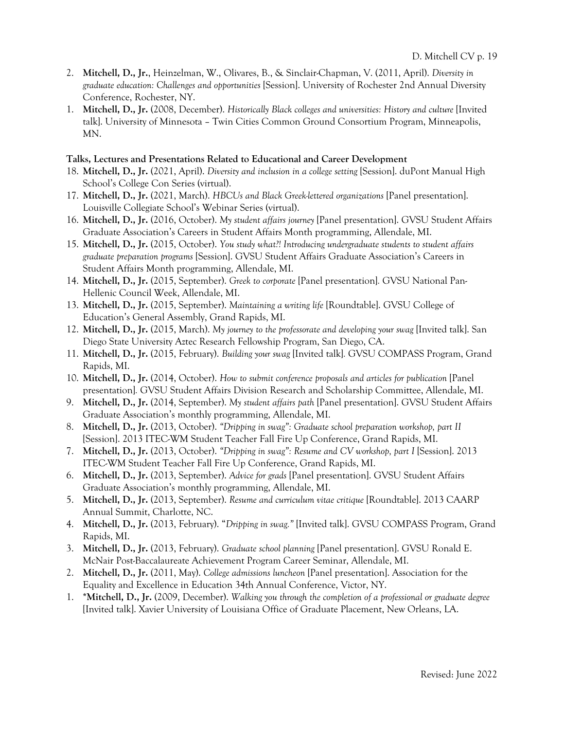- 2. **Mitchell, D., Jr.**, Heinzelman, W., Olivares, B., & Sinclair-Chapman, V. (2011, April). *Diversity in graduate education: Challenges and opportunities* [Session]. University of Rochester 2nd Annual Diversity Conference, Rochester, NY.
- 1. **Mitchell, D., Jr.** (2008, December). *Historically Black colleges and universities: History and culture* [Invited talk]. University of Minnesota – Twin Cities Common Ground Consortium Program, Minneapolis, MN.

## **Talks, Lectures and Presentations Related to Educational and Career Development**

- 18. **Mitchell, D., Jr.** (2021, April). *Diversity and inclusion in a college setting* [Session]. duPont Manual High School's College Con Series (virtual).
- 17. **Mitchell, D., Jr.** (2021, March). *HBCUs and Black Greek-lettered organizations* [Panel presentation]. Louisville Collegiate School's Webinar Series (virtual).
- 16. **Mitchell, D., Jr.** (2016, October). *My student affairs journey* [Panel presentation]. GVSU Student Affairs Graduate Association's Careers in Student Affairs Month programming, Allendale, MI.
- 15. **Mitchell, D., Jr.** (2015, October). *You study what?! Introducing undergraduate students to student affairs graduate preparation programs* [Session]. GVSU Student Affairs Graduate Association's Careers in Student Affairs Month programming, Allendale, MI.
- 14. **Mitchell, D., Jr.** (2015, September). *Greek to corporate* [Panel presentation]*.* GVSU National Pan-Hellenic Council Week, Allendale, MI.
- 13. **Mitchell, D., Jr.** (2015, September). *Maintaining a writing life* [Roundtable]. GVSU College of Education's General Assembly, Grand Rapids, MI.
- 12. **Mitchell, D., Jr.** (2015, March). *My journey to the professorate and developing your swag* [Invited talk]. San Diego State University Aztec Research Fellowship Program, San Diego, CA.
- 11. **Mitchell, D., Jr.** (2015, February). *Building your swag* [Invited talk]*.* GVSU COMPASS Program, Grand Rapids, MI.
- 10. **Mitchell, D., Jr.** (2014, October). *How to submit conference proposals and articles for publication* [Panel presentation]*.* GVSU Student Affairs Division Research and Scholarship Committee, Allendale, MI.
- 9. **Mitchell, D., Jr.** (2014, September). *My student affairs path* [Panel presentation]. GVSU Student Affairs Graduate Association's monthly programming, Allendale, MI.
- 8. **Mitchell, D., Jr.** (2013, October). *"Dripping in swag": Graduate school preparation workshop, part II* [Session]. 2013 ITEC-WM Student Teacher Fall Fire Up Conference, Grand Rapids, MI.
- 7. **Mitchell, D., Jr.** (2013, October). *"Dripping in swag": Resume and CV workshop, part I* [Session]. 2013 ITEC-WM Student Teacher Fall Fire Up Conference, Grand Rapids, MI.
- 6. **Mitchell, D., Jr.** (2013, September). *Advice for grads* [Panel presentation]. GVSU Student Affairs Graduate Association's monthly programming, Allendale, MI.
- 5. **Mitchell, D., Jr.** (2013, September). *Resume and curriculum vitae critique* [Roundtable]. 2013 CAARP Annual Summit, Charlotte, NC.
- 4. **Mitchell, D., Jr.** (2013, February). "*Dripping in swag."* [Invited talk]. GVSU COMPASS Program, Grand Rapids, MI.
- 3. **Mitchell, D., Jr.** (2013, February). *Graduate school planning* [Panel presentation]. GVSU Ronald E. McNair Post-Baccalaureate Achievement Program Career Seminar, Allendale, MI.
- 2. **Mitchell, D., Jr.** (2011, May). *College admissions luncheon* [Panel presentation]. Association for the Equality and Excellence in Education 34th Annual Conference, Victor, NY.
- 1. **\*Mitchell, D., Jr.** (2009, December). *Walking you through the completion of a professional or graduate degree* [Invited talk]. Xavier University of Louisiana Office of Graduate Placement, New Orleans, LA.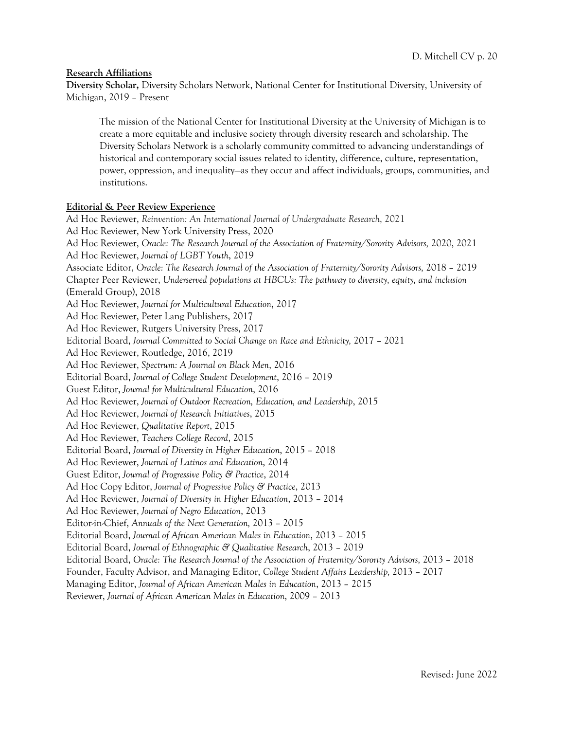#### **Research Affiliations**

**Diversity Scholar,** Diversity Scholars Network, National Center for Institutional Diversity, University of Michigan, 2019 – Present

The mission of the National Center for Institutional Diversity at the University of Michigan is to create a more equitable and inclusive society through diversity research and scholarship. The Diversity Scholars Network is a scholarly community committed to advancing understandings of historical and contemporary social issues related to identity, difference, culture, representation, power, oppression, and inequality—as they occur and affect individuals, groups, communities, and institutions.

#### **Editorial & Peer Review Experience**

Ad Hoc Reviewer, *Reinvention: An International Journal of Undergraduate Research*, 2021 Ad Hoc Reviewer, New York University Press, 2020 Ad Hoc Reviewer, *Oracle: The Research Journal of the Association of Fraternity/Sorority Advisors,* 2020, 2021 Ad Hoc Reviewer, *Journal of LGBT Youth*, 2019 Associate Editor, *Oracle: The Research Journal of the Association of Fraternity/Sorority Advisors,* 2018 – 2019 Chapter Peer Reviewer, *Underserved populations at HBCUs: The pathway to diversity, equity, and inclusion* (Emerald Group), 2018 Ad Hoc Reviewer, *Journal for Multicultural Education*, 2017 Ad Hoc Reviewer, Peter Lang Publishers, 2017 Ad Hoc Reviewer, Rutgers University Press, 2017 Editorial Board, *Journal Committed to Social Change on Race and Ethnicity,* 2017 – 2021 Ad Hoc Reviewer, Routledge, 2016, 2019 Ad Hoc Reviewer, *Spectrum: A Journal on Black Men*, 2016 Editorial Board, *Journal of College Student Development*, 2016 – 2019 Guest Editor, *Journal for Multicultural Education*, 2016 Ad Hoc Reviewer, *Journal of Outdoor Recreation, Education, and Leadership*, 2015 Ad Hoc Reviewer, *Journal of Research Initiatives*, 2015 Ad Hoc Reviewer, *Qualitative Report*, 2015 Ad Hoc Reviewer, *Teachers College Record*, 2015 Editorial Board, *Journal of Diversity in Higher Education*, 2015 – 2018 Ad Hoc Reviewer, *Journal of Latinos and Education*, 2014 Guest Editor, *Journal of Progressive Policy & Practice*, 2014 Ad Hoc Copy Editor, *Journal of Progressive Policy & Practice*, 2013 Ad Hoc Reviewer, *Journal of Diversity in Higher Education*, 2013 – 2014 Ad Hoc Reviewer, *Journal of Negro Education*, 2013 Editor-in-Chief, *Annuals of the Next Generation,* 2013 – 2015 Editorial Board, *Journal of African American Males in Education*, 2013 – 2015 Editorial Board, *Journal of Ethnographic & Qualitative Research*, 2013 – 2019 Editorial Board, *Oracle: The Research Journal of the Association of Fraternity/Sorority Advisors,* 2013 – 2018 Founder, Faculty Advisor, and Managing Editor, *College Student Affairs Leadership,* 2013 – 2017 Managing Editor, *Journal of African American Males in Education*, 2013 – 2015 Reviewer, *Journal of African American Males in Education*, 2009 – 2013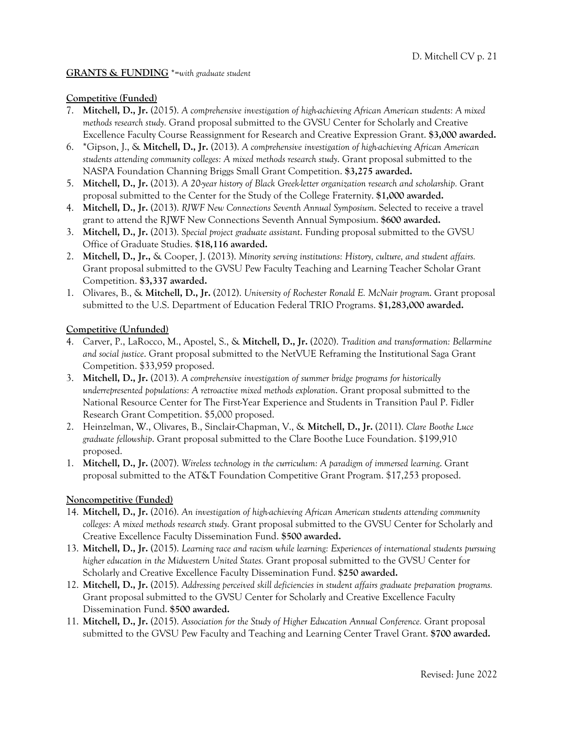#### **GRANTS & FUNDING** \*=*with graduate student*

## **Competitive (Funded)**

- 7. **Mitchell, D., Jr.** (2015). *A comprehensive investigation of high-achieving African American students: A mixed methods research study.* Grand proposal submitted to the GVSU Center for Scholarly and Creative Excellence Faculty Course Reassignment for Research and Creative Expression Grant. **\$3,000 awarded.**
- 6. \*Gipson, J., & **Mitchell, D., Jr.** (2013). *A comprehensive investigation of high-achieving African American students attending community colleges: A mixed methods research study*. Grant proposal submitted to the NASPA Foundation Channing Briggs Small Grant Competition. **\$3,275 awarded.**
- 5. **Mitchell, D., Jr.** (2013). *A 20-year history of Black Greek-letter organization research and scholarship.* Grant proposal submitted to the Center for the Study of the College Fraternity. **\$1,000 awarded.**
- 4. **Mitchell, D., Jr.** (2013). *RJWF New Connections Seventh Annual Symposium*. Selected to receive a travel grant to attend the RJWF New Connections Seventh Annual Symposium. **\$600 awarded.**
- 3. **Mitchell, D., Jr.** (2013). *Special project graduate assistant*. Funding proposal submitted to the GVSU Office of Graduate Studies. **\$18,116 awarded.**
- 2. **Mitchell, D., Jr.,** & Cooper, J. (2013). *Minority serving institutions: History, culture, and student affairs.*  Grant proposal submitted to the GVSU Pew Faculty Teaching and Learning Teacher Scholar Grant Competition. **\$3,337 awarded.**
- 1. Olivares, B., & **Mitchell, D., Jr.** (2012). *University of Rochester Ronald E. McNair program*. Grant proposal submitted to the U.S. Department of Education Federal TRIO Programs. **\$1,283,000 awarded.**

## **Competitive (Unfunded)**

- 4. Carver, P., LaRocco, M., Apostel, S., & **Mitchell, D., Jr.** (2020). *Tradition and transformation: Bellarmine and social justice*. Grant proposal submitted to the NetVUE Reframing the Institutional Saga Grant Competition. \$33,959 proposed.
- 3. **Mitchell, D., Jr.** (2013). *A comprehensive investigation of summer bridge programs for historically underrepresented populations: A retroactive mixed methods exploration*. Grant proposal submitted to the National Resource Center for The First-Year Experience and Students in Transition Paul P. Fidler Research Grant Competition. \$5,000 proposed.
- 2. Heinzelman, W., Olivares, B., Sinclair-Chapman, V., & **Mitchell, D., Jr.** (2011). *Clare Boothe Luce graduate fellowship*. Grant proposal submitted to the Clare Boothe Luce Foundation. \$199,910 proposed.
- 1. **Mitchell, D., Jr.** (2007). *Wireless technology in the curriculum: A paradigm of immersed learning*. Grant proposal submitted to the AT&T Foundation Competitive Grant Program. \$17,253 proposed.

## **Noncompetitive (Funded)**

- 14. **Mitchell, D., Jr.** (2016). *An investigation of high-achieving African American students attending community colleges: A mixed methods research study.* Grant proposal submitted to the GVSU Center for Scholarly and Creative Excellence Faculty Dissemination Fund. **\$500 awarded.**
- 13. **Mitchell, D., Jr.** (2015). *Learning race and racism while learning: Experiences of international students pursuing higher education in the Midwestern United States.* Grant proposal submitted to the GVSU Center for Scholarly and Creative Excellence Faculty Dissemination Fund. **\$250 awarded.**
- 12. **Mitchell, D., Jr.** (2015). *Addressing perceived skill deficiencies in student affairs graduate preparation programs.* Grant proposal submitted to the GVSU Center for Scholarly and Creative Excellence Faculty Dissemination Fund. **\$500 awarded.**
- 11. **Mitchell, D., Jr.** (2015). *Association for the Study of Higher Education Annual Conference.* Grant proposal submitted to the GVSU Pew Faculty and Teaching and Learning Center Travel Grant. **\$700 awarded.**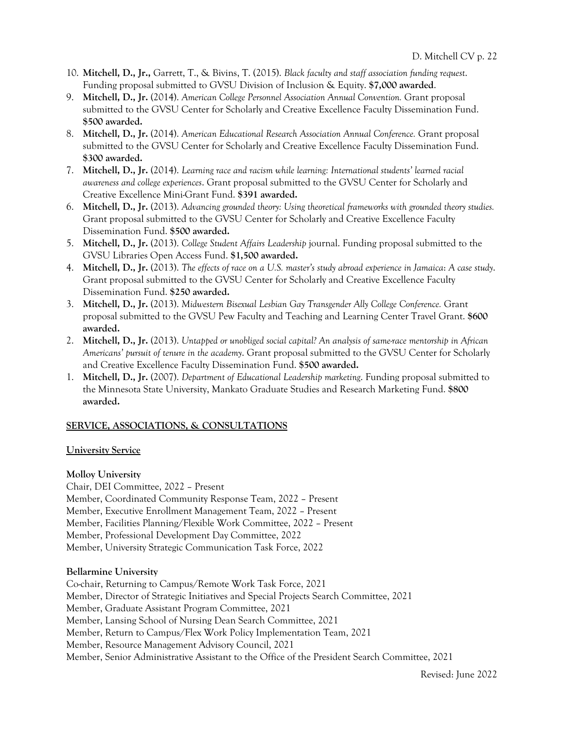- 10. **Mitchell, D., Jr.,** Garrett, T., & Bivins, T. (2015). *Black faculty and staff association funding request*. Funding proposal submitted to GVSU Division of Inclusion & Equity. **\$7,000 awarded**.
- 9. **Mitchell, D., Jr.** (2014). *American College Personnel Association Annual Convention.* Grant proposal submitted to the GVSU Center for Scholarly and Creative Excellence Faculty Dissemination Fund. **\$500 awarded.**
- 8. **Mitchell, D., Jr.** (2014). *American Educational Research Association Annual Conference.* Grant proposal submitted to the GVSU Center for Scholarly and Creative Excellence Faculty Dissemination Fund. **\$300 awarded.**
- 7. **Mitchell, D., Jr.** (2014). *Learning race and racism while learning: International students' learned racial awareness and college experiences*. Grant proposal submitted to the GVSU Center for Scholarly and Creative Excellence Mini-Grant Fund. **\$391 awarded.**
- 6. **Mitchell, D., Jr.** (2013). *Advancing grounded theory: Using theoretical frameworks with grounded theory studies.*  Grant proposal submitted to the GVSU Center for Scholarly and Creative Excellence Faculty Dissemination Fund. **\$500 awarded.**
- 5. **Mitchell, D., Jr.** (2013). *College Student Affairs Leadership* journal. Funding proposal submitted to the GVSU Libraries Open Access Fund. **\$1,500 awarded.**
- 4. **Mitchell, D., Jr.** (2013). *The effects of race on a U.S. master's study abroad experience in Jamaica*: *A case study*. Grant proposal submitted to the GVSU Center for Scholarly and Creative Excellence Faculty Dissemination Fund. **\$250 awarded.**
- 3. **Mitchell, D., Jr.** (2013). *Midwestern Bisexual Lesbian Gay Transgender Ally College Conference.* Grant proposal submitted to the GVSU Pew Faculty and Teaching and Learning Center Travel Grant. **\$600 awarded.**
- 2. **Mitchell, D., Jr.** (2013). *Untapped or unobliged social capital? An analysis of same-race mentorship in African Americans' pursuit of tenure in the academy*. Grant proposal submitted to the GVSU Center for Scholarly and Creative Excellence Faculty Dissemination Fund. **\$500 awarded.**
- 1. **Mitchell, D., Jr.** (2007). *Department of Educational Leadership marketing*. Funding proposal submitted to the Minnesota State University, Mankato Graduate Studies and Research Marketing Fund. **\$800 awarded.**

## **SERVICE, ASSOCIATIONS, & CONSULTATIONS**

## **University Service**

#### **Molloy University**

Chair, DEI Committee, 2022 – Present

Member, Coordinated Community Response Team, 2022 – Present

Member, Executive Enrollment Management Team, 2022 – Present

Member, Facilities Planning/Flexible Work Committee, 2022 – Present

Member, Professional Development Day Committee, 2022

Member, University Strategic Communication Task Force, 2022

## **Bellarmine University**

Co-chair, Returning to Campus/Remote Work Task Force, 2021 Member, Director of Strategic Initiatives and Special Projects Search Committee, 2021 Member, Graduate Assistant Program Committee, 2021 Member, Lansing School of Nursing Dean Search Committee, 2021 Member, Return to Campus/Flex Work Policy Implementation Team, 2021 Member, Resource Management Advisory Council, 2021 Member, Senior Administrative Assistant to the Office of the President Search Committee, 2021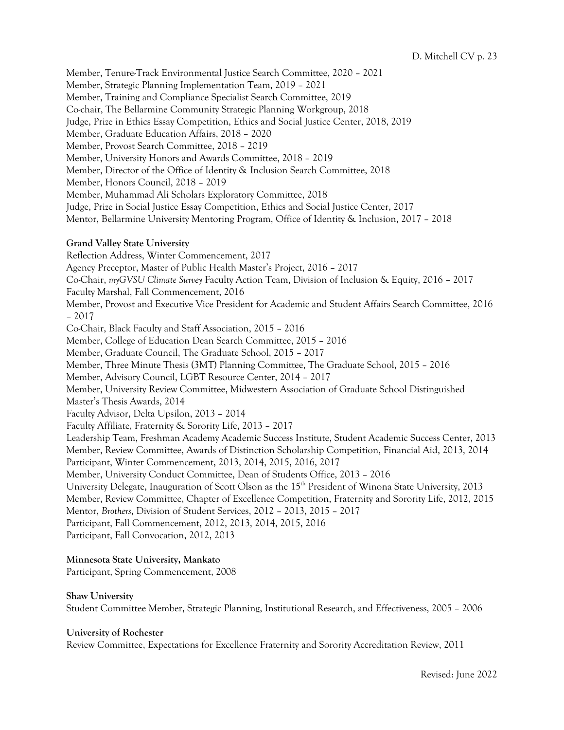D. Mitchell CV p. 23

Member, Tenure-Track Environmental Justice Search Committee, 2020 – 2021 Member, Strategic Planning Implementation Team, 2019 – 2021 Member, Training and Compliance Specialist Search Committee, 2019 Co-chair, The Bellarmine Community Strategic Planning Workgroup, 2018 Judge, Prize in Ethics Essay Competition, Ethics and Social Justice Center, 2018, 2019 Member, Graduate Education Affairs, 2018 – 2020 Member, Provost Search Committee, 2018 – 2019 Member, University Honors and Awards Committee, 2018 – 2019 Member, Director of the Office of Identity & Inclusion Search Committee, 2018 Member, Honors Council, 2018 – 2019 Member, Muhammad Ali Scholars Exploratory Committee, 2018 Judge, Prize in Social Justice Essay Competition, Ethics and Social Justice Center, 2017 Mentor, Bellarmine University Mentoring Program, Office of Identity & Inclusion, 2017 – 2018

## **Grand Valley State University**

Reflection Address, Winter Commencement, 2017 Agency Preceptor, Master of Public Health Master's Project, 2016 – 2017 Co-Chair, *myGVSU Climate Survey* Faculty Action Team, Division of Inclusion & Equity, 2016 – 2017 Faculty Marshal, Fall Commencement, 2016 Member, Provost and Executive Vice President for Academic and Student Affairs Search Committee, 2016 – 2017 Co-Chair, Black Faculty and Staff Association, 2015 – 2016 Member, College of Education Dean Search Committee, 2015 – 2016 Member, Graduate Council, The Graduate School, 2015 – 2017 Member, Three Minute Thesis (3MT) Planning Committee, The Graduate School, 2015 – 2016 Member, Advisory Council, LGBT Resource Center, 2014 – 2017 Member, University Review Committee, Midwestern Association of Graduate School Distinguished Master's Thesis Awards, 2014 Faculty Advisor, Delta Upsilon, 2013 – 2014 Faculty Affiliate, Fraternity & Sorority Life, 2013 – 2017 Leadership Team, Freshman Academy Academic Success Institute, Student Academic Success Center, 2013 Member, Review Committee, Awards of Distinction Scholarship Competition, Financial Aid, 2013, 2014 Participant, Winter Commencement, 2013, 2014, 2015, 2016, 2017 Member, University Conduct Committee, Dean of Students Office, 2013 – 2016 University Delegate, Inauguration of Scott Olson as the 15<sup>th</sup> President of Winona State University, 2013 Member, Review Committee, Chapter of Excellence Competition, Fraternity and Sorority Life, 2012, 2015 Mentor, *Brothers*, Division of Student Services, 2012 – 2013, 2015 – 2017 Participant, Fall Commencement, 2012, 2013, 2014, 2015, 2016 Participant, Fall Convocation, 2012, 2013

## **Minnesota State University, Mankato**

Participant, Spring Commencement, 2008

#### **Shaw University**

Student Committee Member, Strategic Planning, Institutional Research, and Effectiveness, 2005 – 2006

#### **University of Rochester**

Review Committee, Expectations for Excellence Fraternity and Sorority Accreditation Review, 2011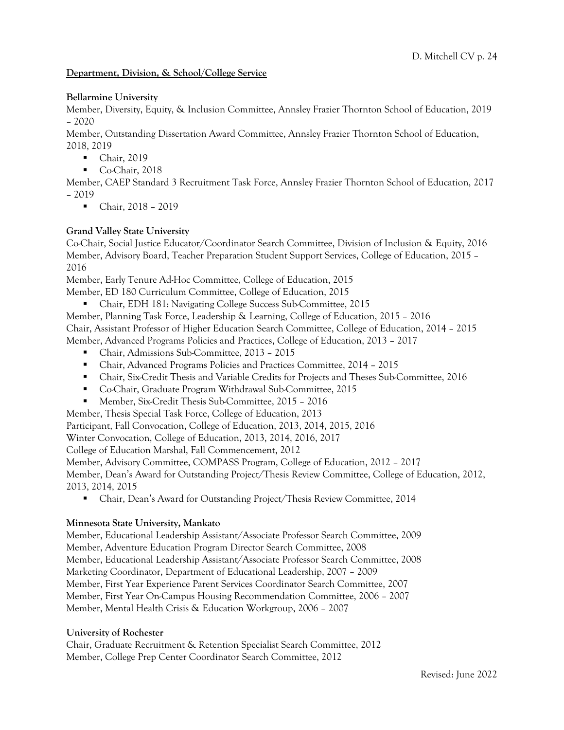## **Department, Division, & School/College Service**

## **Bellarmine University**

Member, Diversity, Equity, & Inclusion Committee, Annsley Frazier Thornton School of Education, 2019 – 2020

Member, Outstanding Dissertation Award Committee, Annsley Frazier Thornton School of Education, 2018, 2019

- Chair, 2019
- § Co-Chair, 2018

Member, CAEP Standard 3 Recruitment Task Force, Annsley Frazier Thornton School of Education, 2017 – 2019

■ Chair, 2018 – 2019

## **Grand Valley State University**

Co-Chair, Social Justice Educator/Coordinator Search Committee, Division of Inclusion & Equity, 2016 Member, Advisory Board, Teacher Preparation Student Support Services, College of Education, 2015 – 2016

Member, Early Tenure Ad-Hoc Committee, College of Education, 2015

Member, ED 180 Curriculum Committee, College of Education, 2015

■ Chair, EDH 181: Navigating College Success Sub-Committee, 2015

Member, Planning Task Force, Leadership & Learning, College of Education, 2015 – 2016 Chair, Assistant Professor of Higher Education Search Committee, College of Education, 2014 – 2015 Member, Advanced Programs Policies and Practices, College of Education, 2013 – 2017

- § Chair, Admissions Sub-Committee, 2013 2015
- Chair, Advanced Programs Policies and Practices Committee, 2014 2015
- Chair, Six-Credit Thesis and Variable Credits for Projects and Theses Sub-Committee, 2016
- Co-Chair, Graduate Program Withdrawal Sub-Committee, 2015
- Member, Six-Credit Thesis Sub-Committee, 2015 2016

Member, Thesis Special Task Force, College of Education, 2013

Participant, Fall Convocation, College of Education, 2013, 2014, 2015, 2016

Winter Convocation, College of Education, 2013, 2014, 2016, 2017

College of Education Marshal, Fall Commencement, 2012

Member, Advisory Committee, COMPASS Program, College of Education, 2012 – 2017

Member, Dean's Award for Outstanding Project/Thesis Review Committee, College of Education, 2012, 2013, 2014, 2015

■ Chair, Dean's Award for Outstanding Project/Thesis Review Committee, 2014

#### **Minnesota State University, Mankato**

Member, Educational Leadership Assistant/Associate Professor Search Committee, 2009 Member, Adventure Education Program Director Search Committee, 2008 Member, Educational Leadership Assistant/Associate Professor Search Committee, 2008 Marketing Coordinator, Department of Educational Leadership, 2007 – 2009 Member, First Year Experience Parent Services Coordinator Search Committee, 2007 Member, First Year On-Campus Housing Recommendation Committee, 2006 – 2007 Member, Mental Health Crisis & Education Workgroup, 2006 – 2007

#### **University of Rochester**

Chair, Graduate Recruitment & Retention Specialist Search Committee, 2012 Member, College Prep Center Coordinator Search Committee, 2012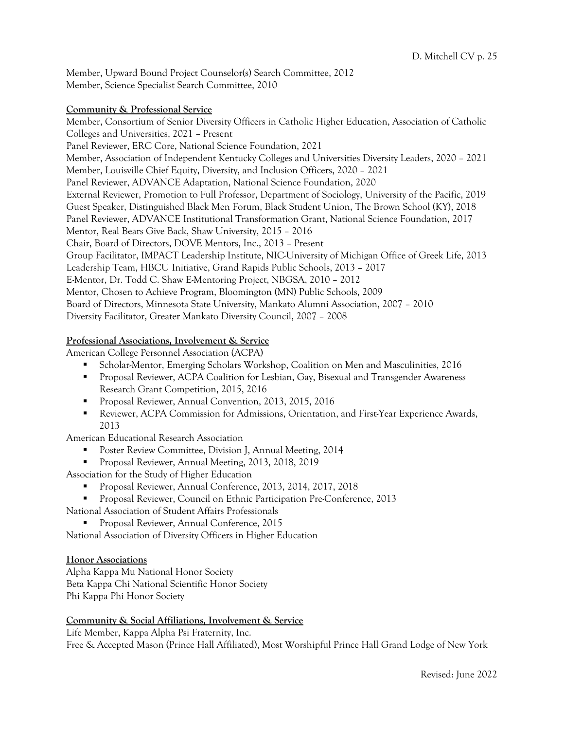Member, Upward Bound Project Counselor(s) Search Committee, 2012 Member, Science Specialist Search Committee, 2010

#### **Community & Professional Service**

Member, Consortium of Senior Diversity Officers in Catholic Higher Education, Association of Catholic Colleges and Universities, 2021 – Present Panel Reviewer, ERC Core, National Science Foundation, 2021 Member, Association of Independent Kentucky Colleges and Universities Diversity Leaders, 2020 – 2021 Member, Louisville Chief Equity, Diversity, and Inclusion Officers, 2020 – 2021 Panel Reviewer, ADVANCE Adaptation, National Science Foundation, 2020 External Reviewer, Promotion to Full Professor, Department of Sociology, University of the Pacific, 2019 Guest Speaker, Distinguished Black Men Forum, Black Student Union, The Brown School (KY), 2018 Panel Reviewer, ADVANCE Institutional Transformation Grant, National Science Foundation, 2017 Mentor, Real Bears Give Back, Shaw University, 2015 – 2016 Chair, Board of Directors, DOVE Mentors, Inc., 2013 – Present Group Facilitator, IMPACT Leadership Institute, NIC-University of Michigan Office of Greek Life, 2013 Leadership Team, HBCU Initiative, Grand Rapids Public Schools, 2013 – 2017 E-Mentor, Dr. Todd C. Shaw E-Mentoring Project, NBGSA, 2010 – 2012 Mentor, Chosen to Achieve Program, Bloomington (MN) Public Schools, 2009 Board of Directors, Minnesota State University, Mankato Alumni Association, 2007 – 2010 Diversity Facilitator, Greater Mankato Diversity Council, 2007 – 2008

## **Professional Associations, Involvement & Service**

American College Personnel Association (ACPA)

- § Scholar-Mentor, Emerging Scholars Workshop, Coalition on Men and Masculinities, 2016
- Proposal Reviewer, ACPA Coalition for Lesbian, Gay, Bisexual and Transgender Awareness Research Grant Competition, 2015, 2016
- § Proposal Reviewer, Annual Convention, 2013, 2015, 2016
- Reviewer, ACPA Commission for Admissions, Orientation, and First-Year Experience Awards, 2013

American Educational Research Association

- Poster Review Committee, Division J, Annual Meeting, 2014
- Proposal Reviewer, Annual Meeting, 2013, 2018, 2019
- Association for the Study of Higher Education
	- § Proposal Reviewer, Annual Conference, 2013, 2014, 2017, 2018
	- § Proposal Reviewer, Council on Ethnic Participation Pre-Conference, 2013

National Association of Student Affairs Professionals

§ Proposal Reviewer, Annual Conference, 2015

National Association of Diversity Officers in Higher Education

#### **Honor Associations**

Alpha Kappa Mu National Honor Society Beta Kappa Chi National Scientific Honor Society Phi Kappa Phi Honor Society

#### **Community & Social Affiliations, Involvement & Service**

Life Member, Kappa Alpha Psi Fraternity, Inc. Free & Accepted Mason (Prince Hall Affiliated), Most Worshipful Prince Hall Grand Lodge of New York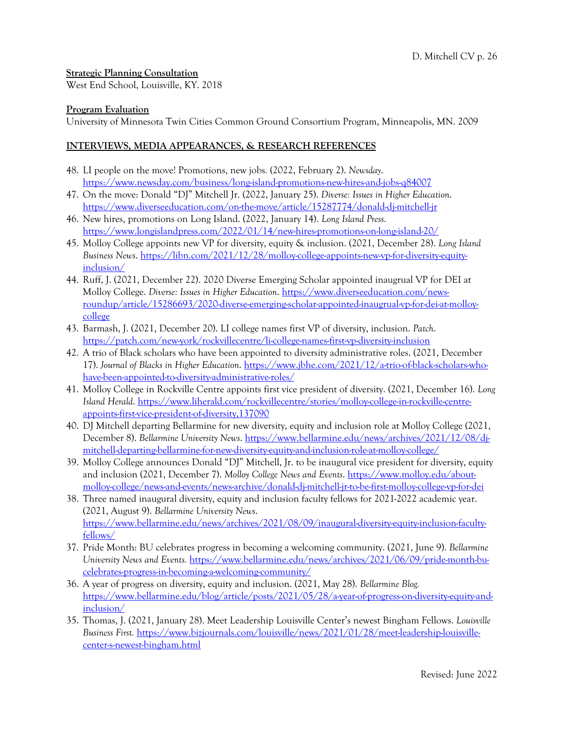## **Strategic Planning Consultation**

West End School, Louisville, KY. 2018

## **Program Evaluation**

University of Minnesota Twin Cities Common Ground Consortium Program, Minneapolis, MN. 2009

## **INTERVIEWS, MEDIA APPEARANCES, & RESEARCH REFERENCES**

- 48. LI people on the move! Promotions, new jobs*.* (2022, February 2). *Newsday*. https://www.newsday.com/business/long-island-promotions-new-hires-and-jobs-q84007
- 47. On the move: Donald "DJ" Mitchell Jr. (2022, January 25). *Diverse: Issues in Higher Education*. https://www.diverseeducation.com/on-the-move/article/15287774/donald-dj-mitchell-jr
- 46. New hires, promotions on Long Island. (2022, January 14). *Long Island Press*. https://www.longislandpress.com/2022/01/14/new-hires-promotions-on-long-island-20/
- 45. Molloy College appoints new VP for diversity, equity & inclusion. (2021, December 28). *Long Island Business News*. https://libn.com/2021/12/28/molloy-college-appoints-new-vp-for-diversity-equityinclusion/
- 44. Ruff, J. (2021, December 22). 2020 Diverse Emerging Scholar appointed inaugrual VP for DEI at Molloy College. *Diverse: Issues in Higher Education*. https://www.diverseeducation.com/newsroundup/article/15286693/2020-diverse-emerging-scholar-appointed-inaugrual-vp-for-dei-at-molloycollege
- 43. Barmash, J. (2021, December 20). LI college names first VP of diversity, inclusion. *Patch*. https://patch.com/new-york/rockvillecentre/li-college-names-first-vp-diversity-inclusion
- 42. A trio of Black scholars who have been appointed to diversity administrative roles. (2021, December 17). *Journal of Blacks in Higher Education*. https://www.jbhe.com/2021/12/a-trio-of-black-scholars-whohave-been-appointed-to-diversity-administrative-roles/
- 41. Molloy College in Rockville Centre appoints first vice president of diversity. (2021, December 16). *Long Island Herald*. https://www.liherald.com/rockvillecentre/stories/molloy-college-in-rockville-centreappoints-first-vice-president-of-diversity,137090
- 40. DJ Mitchell departing Bellarmine for new diversity, equity and inclusion role at Molloy College (2021, December 8). *Bellarmine University News*. https://www.bellarmine.edu/news/archives/2021/12/08/djmitchell-departing-bellarmine-for-new-diversity-equity-and-inclusion-role-at-molloy-college/
- 39. Molloy College announces Donald "DJ" Mitchell, Jr. to be inaugural vice president for diversity, equity and inclusion (2021, December 7). *Molloy College News and Events*. https://www.molloy.edu/aboutmolloy-college/news-and-events/news-archive/donald-dj-mitchell-jr-to-be-first-molloy-college-vp-for-dei
- 38. Three named inaugural diversity, equity and inclusion faculty fellows for 2021-2022 academic year. (2021, August 9). *Bellarmine University News*. https://www.bellarmine.edu/news/archives/2021/08/09/inaugural-diversity-equity-inclusion-facultyfellows/
- 37. Pride Month: BU celebrates progress in becoming a welcoming community. (2021, June 9). *Bellarmine University News and Events.* https://www.bellarmine.edu/news/archives/2021/06/09/pride-month-bucelebrates-progress-in-becoming-a-welcoming-community/
- 36. A year of progress on diversity, equity and inclusion. (2021, May 28). *Bellarmine Blog.* https://www.bellarmine.edu/blog/article/posts/2021/05/28/a-year-of-progress-on-diversity-equity-andinclusion/
- 35. Thomas, J. (2021, January 28). Meet Leadership Louisville Center's newest Bingham Fellows. *Louisville Business First.* https://www.bizjournals.com/louisville/news/2021/01/28/meet-leadership-louisvillecenter-s-newest-bingham.html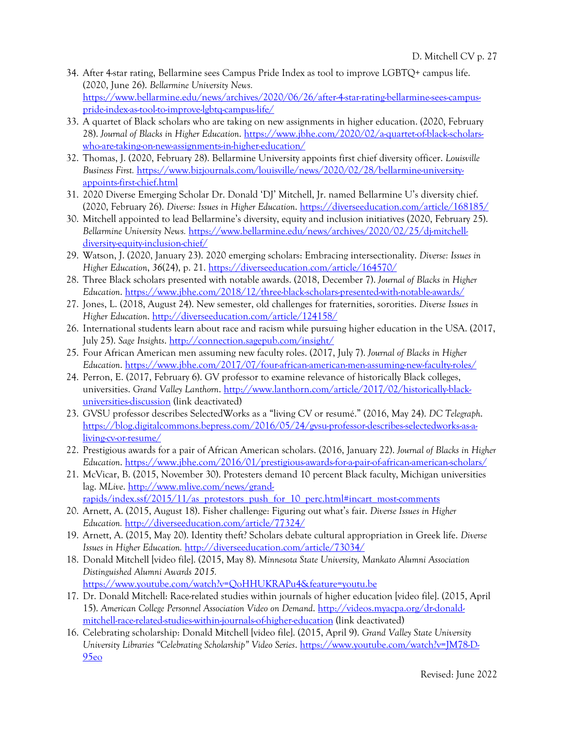- 34. After 4-star rating, Bellarmine sees Campus Pride Index as tool to improve LGBTQ+ campus life. (2020, June 26). *Bellarmine University News.*  https://www.bellarmine.edu/news/archives/2020/06/26/after-4-star-rating-bellarmine-sees-campuspride-index-as-tool-to-improve-lgbtq-campus-life/
- 33. A quartet of Black scholars who are taking on new assignments in higher education. (2020, February 28). *Journal of Blacks in Higher Education*. https://www.jbhe.com/2020/02/a-quartet-of-black-scholarswho-are-taking-on-new-assignments-in-higher-education/
- 32. Thomas, J. (2020, February 28). Bellarmine University appoints first chief diversity officer. *Louisville Business First.* https://www.bizjournals.com/louisville/news/2020/02/28/bellarmine-universityappoints-first-chief.html
- 31. 2020 Diverse Emerging Scholar Dr. Donald 'DJ' Mitchell, Jr. named Bellarmine U's diversity chief. (2020, February 26). *Diverse: Issues in Higher Education*. https://diverseeducation.com/article/168185/
- 30. Mitchell appointed to lead Bellarmine's diversity, equity and inclusion initiatives (2020, February 25). *Bellarmine University News.* https://www.bellarmine.edu/news/archives/2020/02/25/dj-mitchelldiversity-equity-inclusion-chief/
- 29. Watson, J. (2020, January 23). 2020 emerging scholars: Embracing intersectionality. *Diverse: Issues in Higher Education*, *36*(24), p. 21. https://diverseeducation.com/article/164570/
- 28. Three Black scholars presented with notable awards. (2018, December 7). *Journal of Blacks in Higher Education*. https://www.jbhe.com/2018/12/three-black-scholars-presented-with-notable-awards/
- 27. Jones, L. (2018, August 24). New semester, old challenges for fraternities, sororities. *Diverse Issues in Higher Education*. http://diverseeducation.com/article/124158/
- 26. International students learn about race and racism while pursuing higher education in the USA. (2017, July 25). *Sage Insights*. http://connection.sagepub.com/insight/
- 25. Four African American men assuming new faculty roles. (2017, July 7). *Journal of Blacks in Higher Education*. https://www.jbhe.com/2017/07/four-african-american-men-assuming-new-faculty-roles/
- 24. Perron, E. (2017, February 6). GV professor to examine relevance of historically Black colleges, universities. Grand Valley Lanthorn. http://www.lanthorn.com/article/2017/02/historically-blackuniversities-discussion (link deactivated)
- 23. GVSU professor describes SelectedWorks as a "living CV or resumé." (2016, May 24). *DC Telegraph*. https://blog.digitalcommons.bepress.com/2016/05/24/gvsu-professor-describes-selectedworks-as-aliving-cv-or-resume/
- 22. Prestigious awards for a pair of African American scholars. (2016, January 22). *Journal of Blacks in Higher Education*. https://www.jbhe.com/2016/01/prestigious-awards-for-a-pair-of-african-american-scholars/
- 21. McVicar, B. (2015, November 30). Protesters demand 10 percent Black faculty, Michigan universities lag. MLive. http://www.mlive.com/news/grand-

rapids/index.ssf/2015/11/as protestors push for 10 perc.html#incart most-comments

- 20. Arnett, A. (2015, August 18). Fisher challenge: Figuring out what's fair. *Diverse Issues in Higher Education.* http://diverseeducation.com/article/77324/
- 19. Arnett, A. (2015, May 20). Identity theft? Scholars debate cultural appropriation in Greek life. *Diverse Issues in Higher Education.* http://diverseeducation.com/article/73034/
- 18. Donald Mitchell [video file]. (2015, May 8). *Minnesota State University, Mankato Alumni Association Distinguished Alumni Awards 2015.*  https://www.youtube.com/watch?v=QoHHUKRAPu4&feature=youtu.be
- 17. Dr. Donald Mitchell: Race-related studies within journals of higher education [video file]. (2015, April 15). *American College Personnel Association Video on Demand*. http://videos.myacpa.org/dr-donaldmitchell-race-related-studies-within-journals-of-higher-education (link deactivated)
- 16. Celebrating scholarship: Donald Mitchell [video file]. (2015, April 9). *Grand Valley State University University Libraries "Celebrating Scholarship" Video Series*. https://www.youtube.com/watch?v=JM78-D-95eo